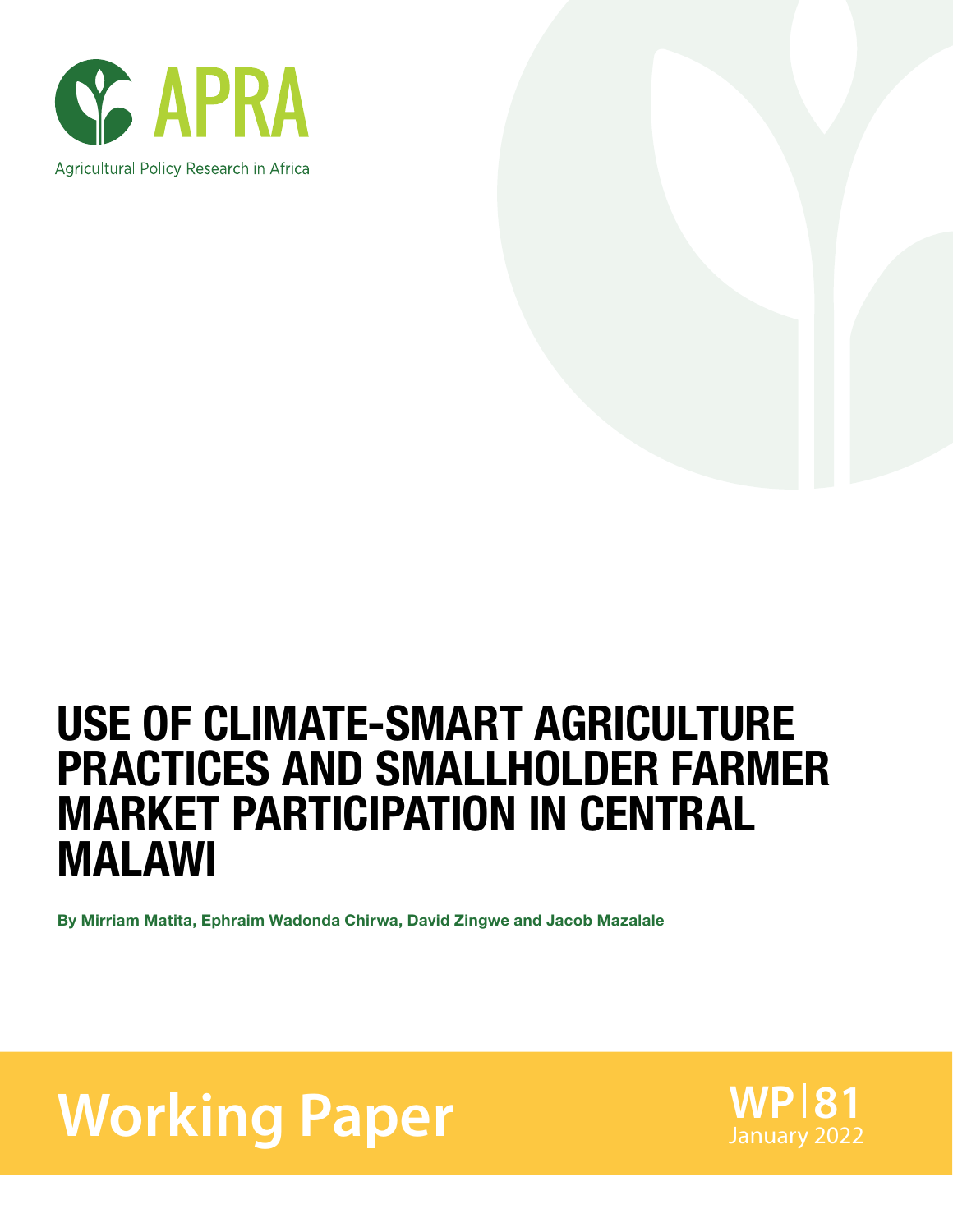

## USE OF CLIMATE-SMART AGRICULTURE PRACTICES AND SMALLHOLDER FARMER MARKET PARTICIPATION IN CENTRAL MALAWI

By Mirriam Matita, Ephraim Wadonda Chirwa, David Zingwe and Jacob Mazalale

**Working Paper** WP181

**WP 81**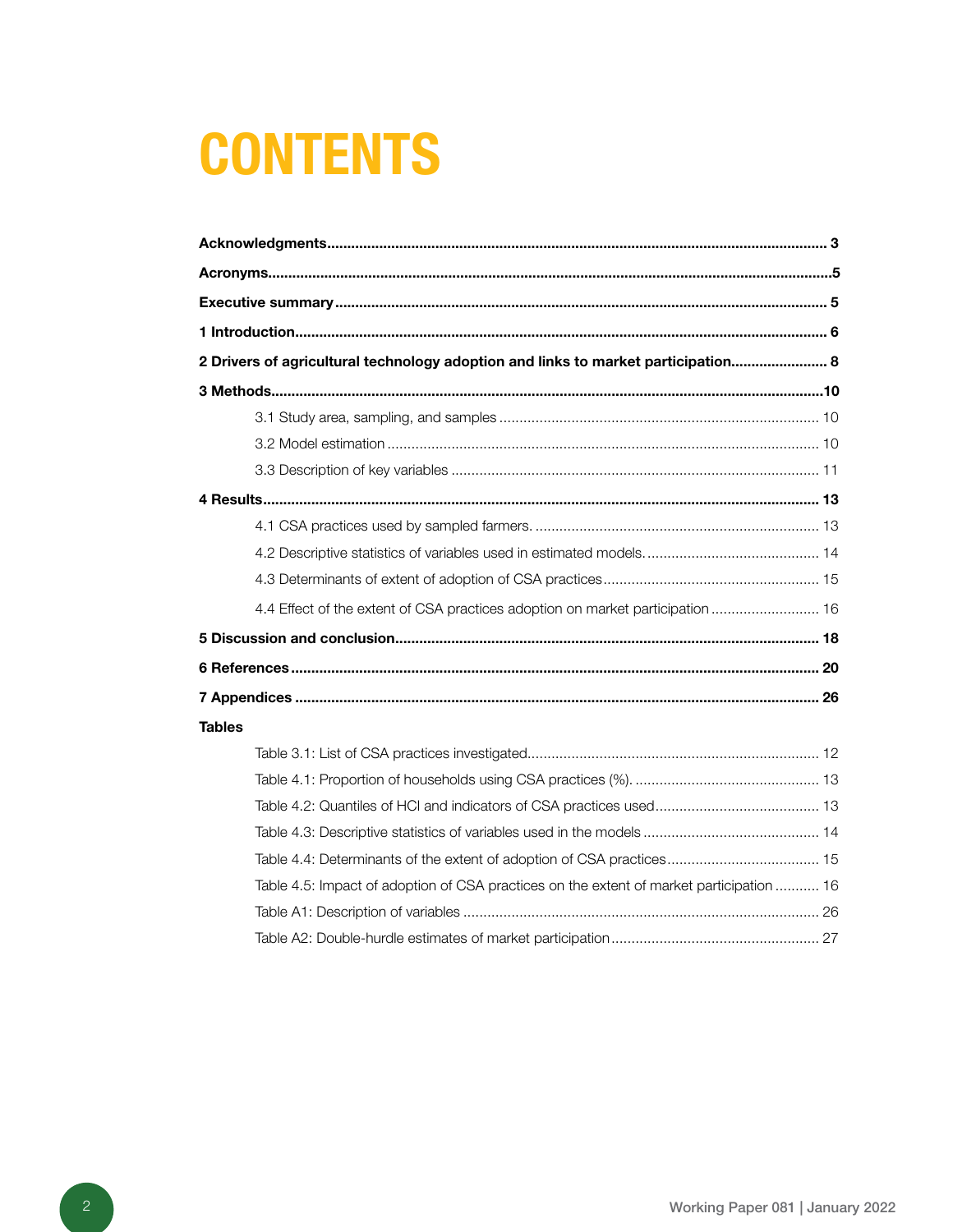# **CONTENTS**

| 2 Drivers of agricultural technology adoption and links to market participation 8        |  |
|------------------------------------------------------------------------------------------|--|
|                                                                                          |  |
|                                                                                          |  |
|                                                                                          |  |
|                                                                                          |  |
|                                                                                          |  |
|                                                                                          |  |
|                                                                                          |  |
|                                                                                          |  |
| 4.4 Effect of the extent of CSA practices adoption on market participation  16           |  |
|                                                                                          |  |
|                                                                                          |  |
|                                                                                          |  |
| <b>Tables</b>                                                                            |  |
|                                                                                          |  |
|                                                                                          |  |
|                                                                                          |  |
|                                                                                          |  |
| Table 4.4: Determinants of the extent of adoption of CSA practices 15                    |  |
| Table 4.5: Impact of adoption of CSA practices on the extent of market participation  16 |  |
|                                                                                          |  |
|                                                                                          |  |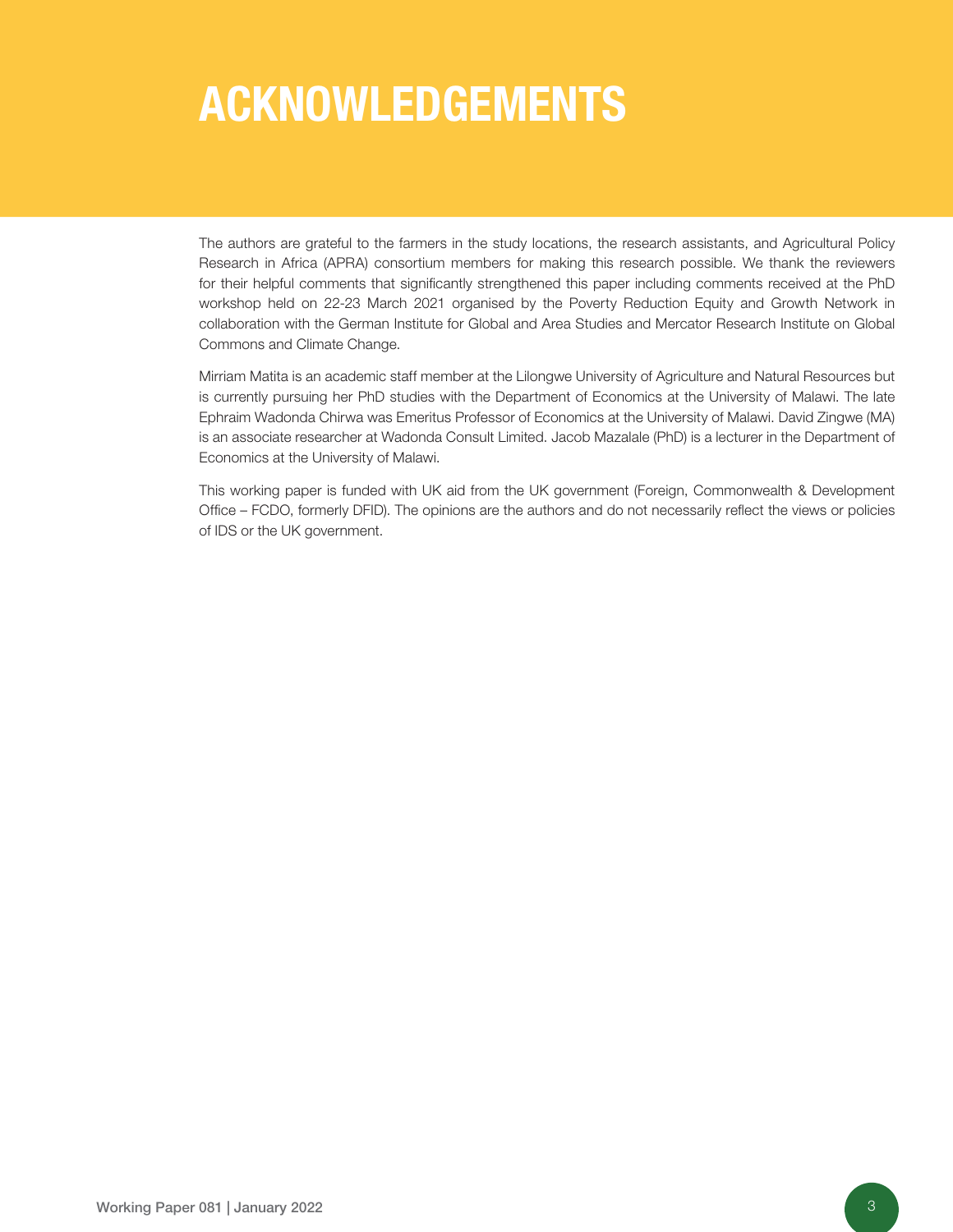## ACKNOWLEDGEMENTS

The authors are grateful to the farmers in the study locations, the research assistants, and Agricultural Policy Research in Africa (APRA) consortium members for making this research possible. We thank the reviewers for their helpful comments that significantly strengthened this paper including comments received at the PhD workshop held on 22-23 March 2021 organised by the Poverty Reduction Equity and Growth Network in collaboration with the German Institute for Global and Area Studies and Mercator Research Institute on Global Commons and Climate Change.

Mirriam Matita is an academic staff member at the Lilongwe University of Agriculture and Natural Resources but is currently pursuing her PhD studies with the Department of Economics at the University of Malawi. The late Ephraim Wadonda Chirwa was Emeritus Professor of Economics at the University of Malawi. David Zingwe (MA) is an associate researcher at Wadonda Consult Limited. Jacob Mazalale (PhD) is a lecturer in the Department of Economics at the University of Malawi.

This working paper is funded with UK aid from the UK government (Foreign, Commonwealth & Development Office – FCDO, formerly DFID). The opinions are the authors and do not necessarily reflect the views or policies of IDS or the UK government.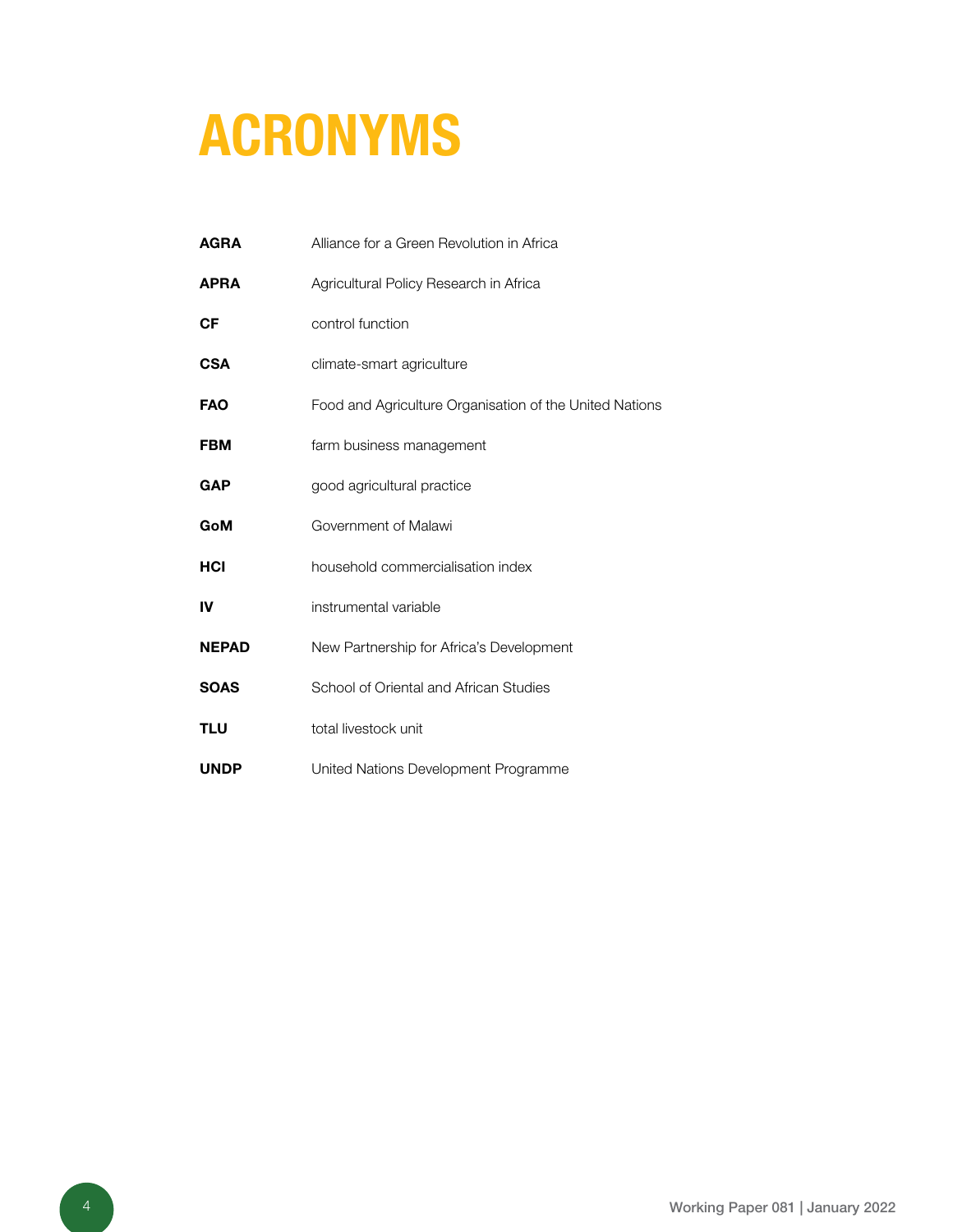# ACRONYMS

| <b>AGRA</b>  | Alliance for a Green Revolution in Africa               |
|--------------|---------------------------------------------------------|
| <b>APRA</b>  | Agricultural Policy Research in Africa                  |
| <b>CF</b>    | control function                                        |
| <b>CSA</b>   | climate-smart agriculture                               |
| <b>FAO</b>   | Food and Agriculture Organisation of the United Nations |
| <b>FBM</b>   | farm business management                                |
| <b>GAP</b>   | good agricultural practice                              |
| GoM          | Government of Malawi                                    |
| HCI          | household commercialisation index                       |
| IV           | instrumental variable                                   |
| <b>NEPAD</b> | New Partnership for Africa's Development                |
| <b>SOAS</b>  | School of Oriental and African Studies                  |
| <b>TLU</b>   | total livestock unit                                    |
| <b>UNDP</b>  | United Nations Development Programme                    |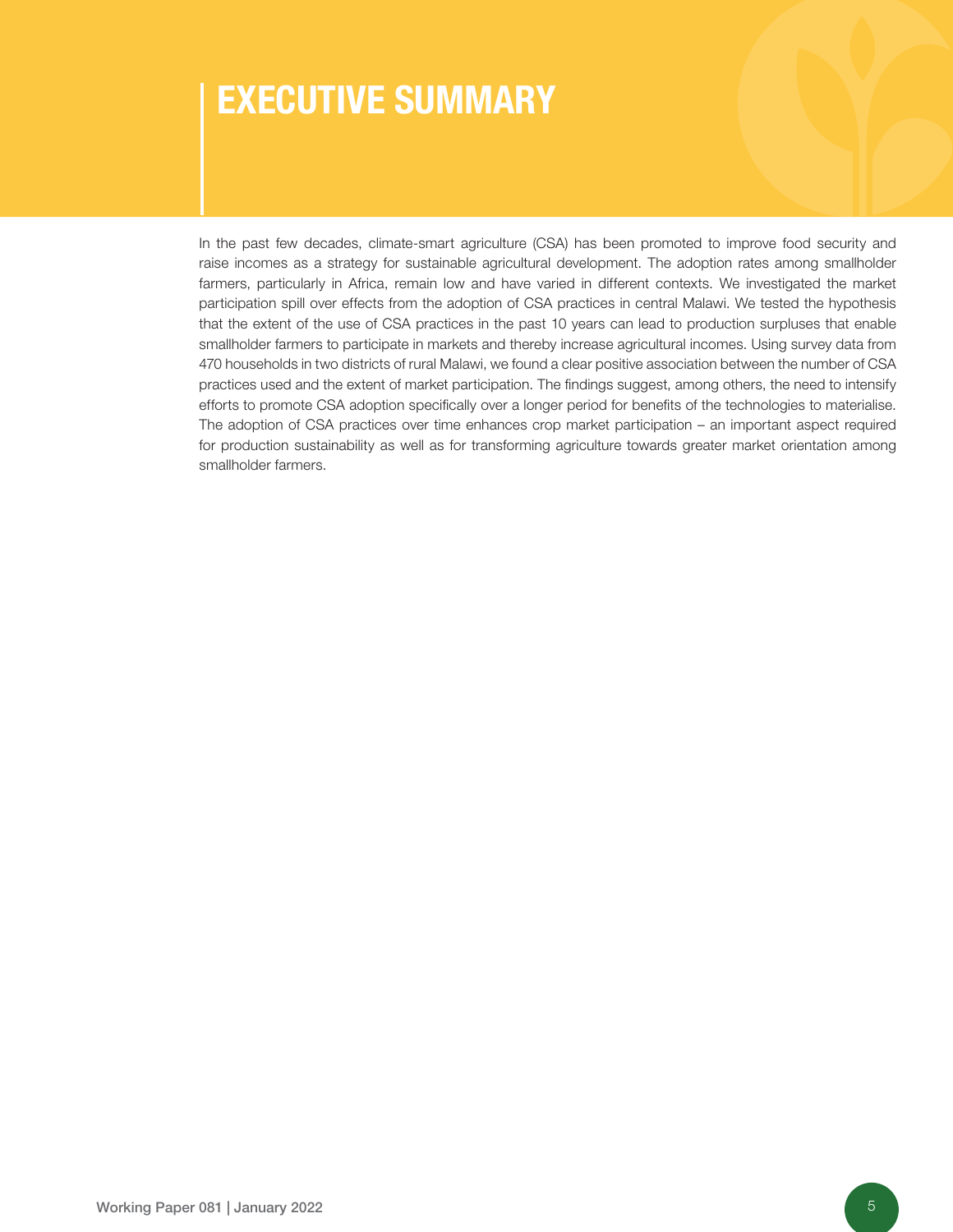### EXECUTIVE SUMMARY

In the past few decades, climate-smart agriculture (CSA) has been promoted to improve food security and raise incomes as a strategy for sustainable agricultural development. The adoption rates among smallholder farmers, particularly in Africa, remain low and have varied in different contexts. We investigated the market participation spill over effects from the adoption of CSA practices in central Malawi. We tested the hypothesis that the extent of the use of CSA practices in the past 10 years can lead to production surpluses that enable smallholder farmers to participate in markets and thereby increase agricultural incomes. Using survey data from 470 households in two districts of rural Malawi, we found a clear positive association between the number of CSA practices used and the extent of market participation. The findings suggest, among others, the need to intensify efforts to promote CSA adoption specifically over a longer period for benefits of the technologies to materialise. The adoption of CSA practices over time enhances crop market participation – an important aspect required for production sustainability as well as for transforming agriculture towards greater market orientation among smallholder farmers.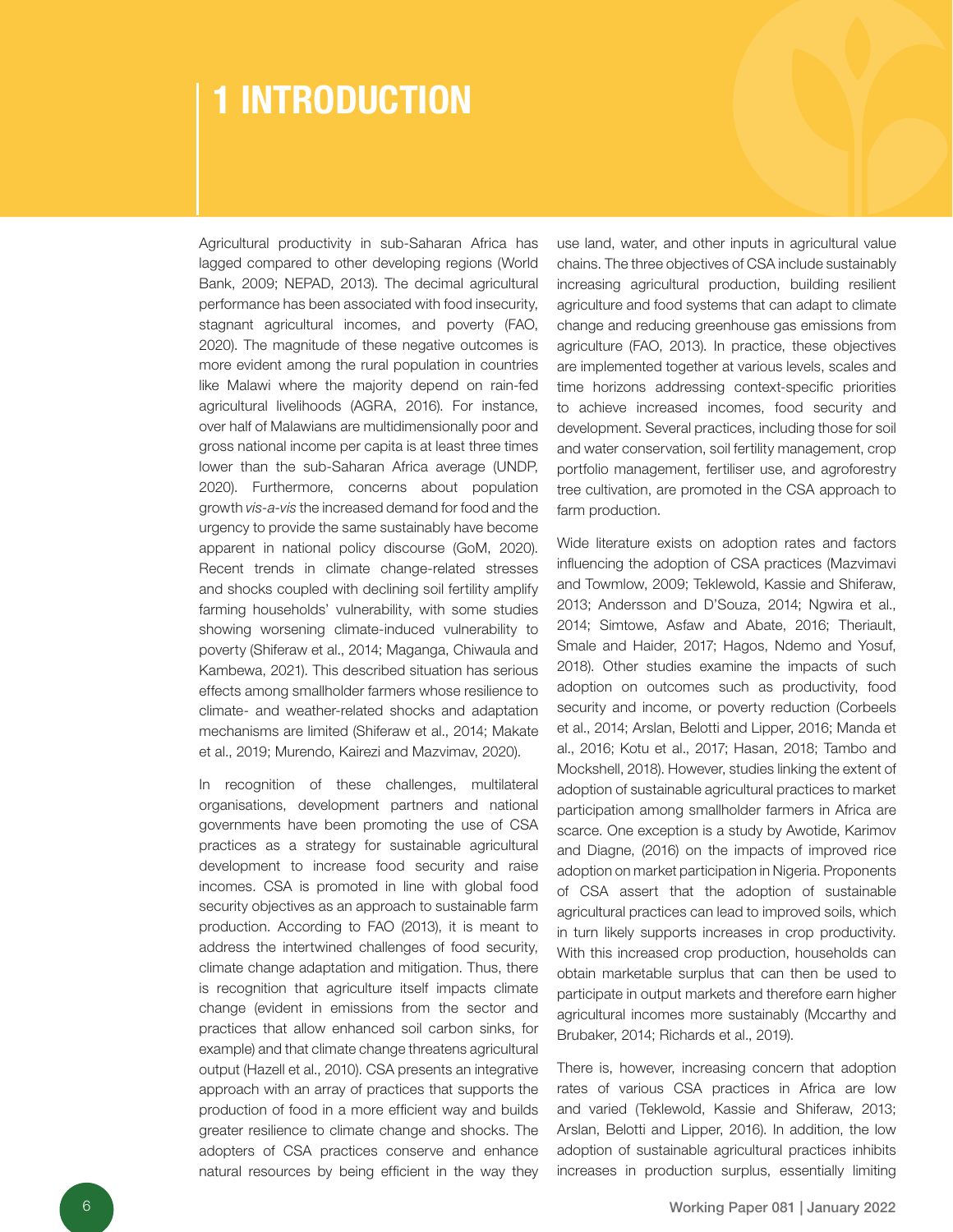### 1 INTRODUCTION

Agricultural productivity in sub-Saharan Africa has lagged compared to other developing regions (World Bank, 2009; NEPAD, 2013). The decimal agricultural performance has been associated with food insecurity, stagnant agricultural incomes, and poverty (FAO, 2020). The magnitude of these negative outcomes is more evident among the rural population in countries like Malawi where the majority depend on rain-fed agricultural livelihoods (AGRA, 2016). For instance, over half of Malawians are multidimensionally poor and gross national income per capita is at least three times lower than the sub-Saharan Africa average (UNDP, 2020). Furthermore, concerns about population growth *vis-a-vis* the increased demand for food and the urgency to provide the same sustainably have become apparent in national policy discourse (GoM, 2020). Recent trends in climate change-related stresses and shocks coupled with declining soil fertility amplify farming households' vulnerability, with some studies showing worsening climate-induced vulnerability to poverty (Shiferaw et al., 2014; Maganga, Chiwaula and Kambewa, 2021). This described situation has serious effects among smallholder farmers whose resilience to climate- and weather-related shocks and adaptation mechanisms are limited (Shiferaw et al., 2014; Makate et al., 2019; Murendo, Kairezi and Mazvimav, 2020).

In recognition of these challenges, multilateral organisations, development partners and national governments have been promoting the use of CSA practices as a strategy for sustainable agricultural development to increase food security and raise incomes. CSA is promoted in line with global food security objectives as an approach to sustainable farm production. According to FAO (2013), it is meant to address the intertwined challenges of food security, climate change adaptation and mitigation. Thus, there is recognition that agriculture itself impacts climate change (evident in emissions from the sector and practices that allow enhanced soil carbon sinks, for example) and that climate change threatens agricultural output (Hazell et al., 2010). CSA presents an integrative approach with an array of practices that supports the production of food in a more efficient way and builds greater resilience to climate change and shocks. The adopters of CSA practices conserve and enhance natural resources by being efficient in the way they

use land, water, and other inputs in agricultural value chains. The three objectives of CSA include sustainably increasing agricultural production, building resilient agriculture and food systems that can adapt to climate change and reducing greenhouse gas emissions from agriculture (FAO, 2013). In practice, these objectives are implemented together at various levels, scales and time horizons addressing context-specific priorities to achieve increased incomes, food security and development. Several practices, including those for soil and water conservation, soil fertility management, crop portfolio management, fertiliser use, and agroforestry tree cultivation, are promoted in the CSA approach to farm production.

Wide literature exists on adoption rates and factors influencing the adoption of CSA practices (Mazvimavi and Towmlow, 2009; Teklewold, Kassie and Shiferaw, 2013; Andersson and D'Souza, 2014; Ngwira et al., 2014; Simtowe, Asfaw and Abate, 2016; Theriault, Smale and Haider, 2017; Hagos, Ndemo and Yosuf, 2018). Other studies examine the impacts of such adoption on outcomes such as productivity, food security and income, or poverty reduction (Corbeels et al., 2014; Arslan, Belotti and Lipper, 2016; Manda et al., 2016; Kotu et al., 2017; Hasan, 2018; Tambo and Mockshell, 2018). However, studies linking the extent of adoption of sustainable agricultural practices to market participation among smallholder farmers in Africa are scarce. One exception is a study by Awotide, Karimov and Diagne, (2016) on the impacts of improved rice adoption on market participation in Nigeria. Proponents of CSA assert that the adoption of sustainable agricultural practices can lead to improved soils, which in turn likely supports increases in crop productivity. With this increased crop production, households can obtain marketable surplus that can then be used to participate in output markets and therefore earn higher agricultural incomes more sustainably (Mccarthy and Brubaker, 2014; Richards et al., 2019).

There is, however, increasing concern that adoption rates of various CSA practices in Africa are low and varied (Teklewold, Kassie and Shiferaw, 2013; Arslan, Belotti and Lipper, 2016). In addition, the low adoption of sustainable agricultural practices inhibits increases in production surplus, essentially limiting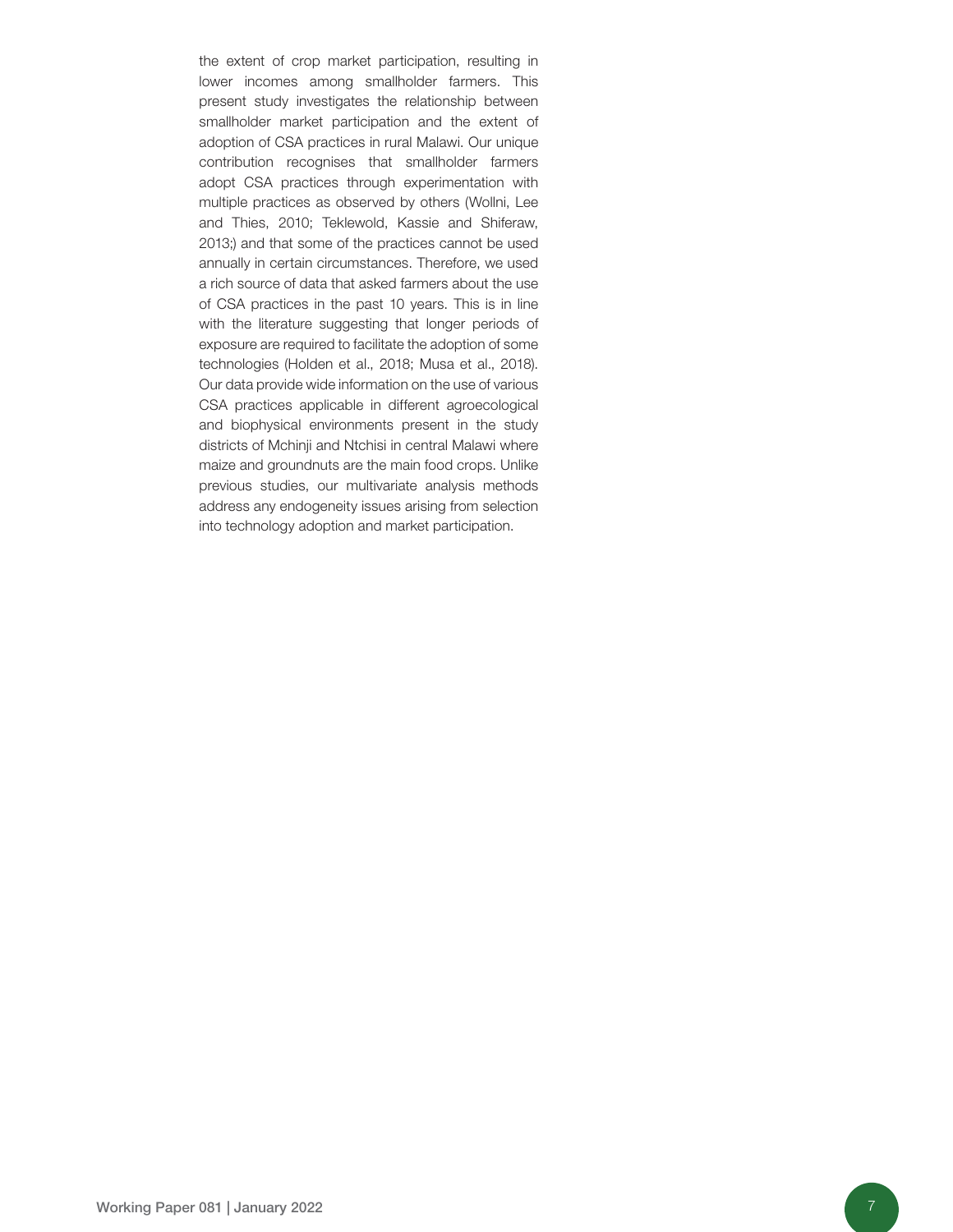the extent of crop market participation, resulting in lower incomes among smallholder farmers. This present study investigates the relationship between smallholder market participation and the extent of adoption of CSA practices in rural Malawi. Our unique contribution recognises that smallholder farmers adopt CSA practices through experimentation with multiple practices as observed by others (Wollni, Lee and Thies, 2010; Teklewold, Kassie and Shiferaw, 2013;) and that some of the practices cannot be used annually in certain circumstances. Therefore, we used a rich source of data that asked farmers about the use of CSA practices in the past 10 years. This is in line with the literature suggesting that longer periods of exposure are required to facilitate the adoption of some technologies (Holden et al., 2018; Musa et al., 2018). Our data provide wide information on the use of various CSA practices applicable in different agroecological and biophysical environments present in the study districts of Mchinji and Ntchisi in central Malawi where maize and groundnuts are the main food crops. Unlike previous studies, our multivariate analysis methods address any endogeneity issues arising from selection into technology adoption and market participation.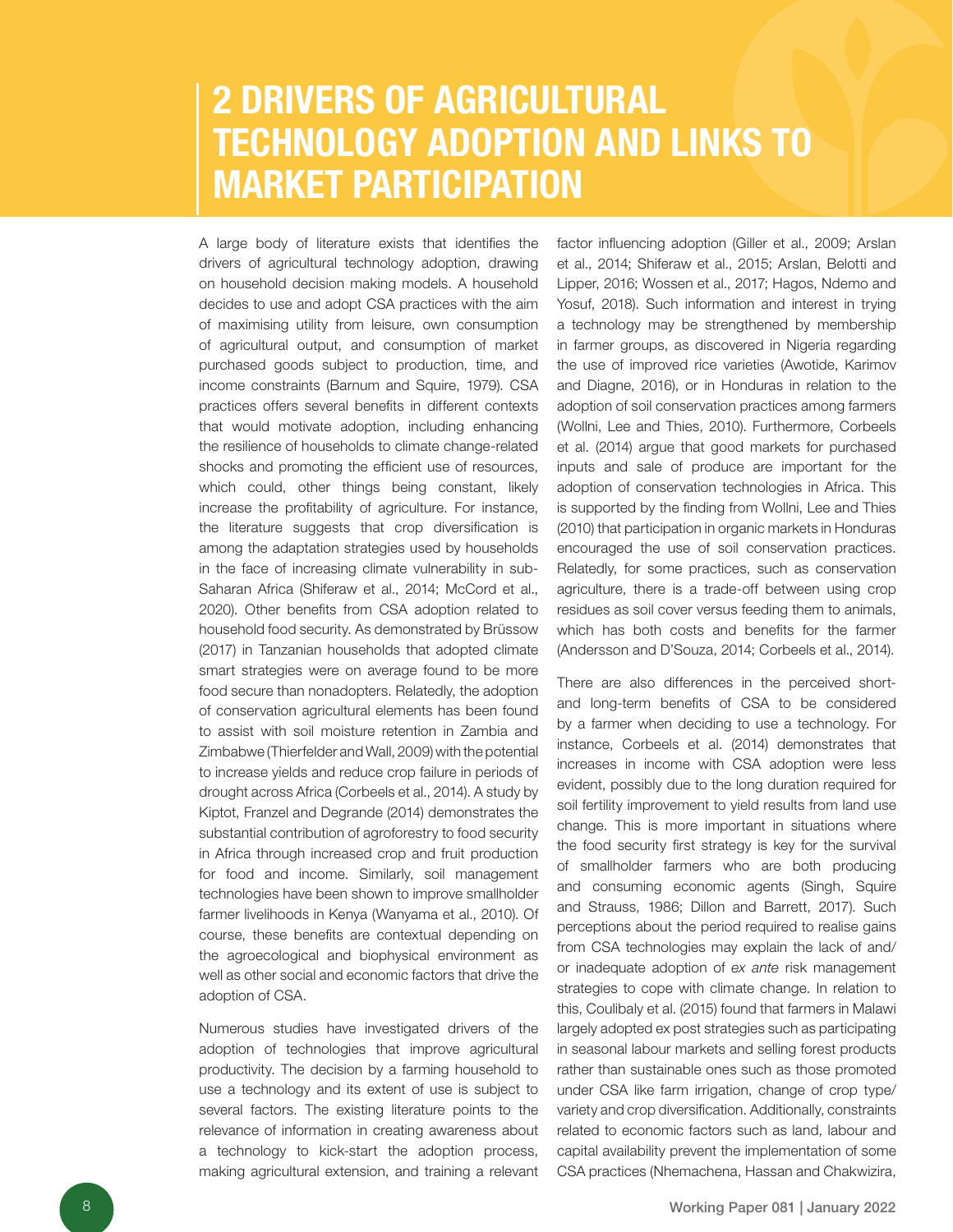### 2 DRIVERS OF AGRICULTURAL TECHNOLOGY ADOPTION AND LINKS TO MARKET PARTICIPATION

A large body of literature exists that identifies the drivers of agricultural technology adoption, drawing on household decision making models. A household decides to use and adopt CSA practices with the aim of maximising utility from leisure, own consumption of agricultural output, and consumption of market purchased goods subject to production, time, and income constraints (Barnum and Squire, 1979). CSA practices offers several benefits in different contexts that would motivate adoption, including enhancing the resilience of households to climate change-related shocks and promoting the efficient use of resources, which could, other things being constant, likely increase the profitability of agriculture. For instance, the literature suggests that crop diversification is among the adaptation strategies used by households in the face of increasing climate vulnerability in sub-Saharan Africa (Shiferaw et al., 2014; McCord et al., 2020). Other benefits from CSA adoption related to household food security. As demonstrated by Brüssow (2017) in Tanzanian households that adopted climate smart strategies were on average found to be more food secure than nonadopters. Relatedly, the adoption of conservation agricultural elements has been found to assist with soil moisture retention in Zambia and Zimbabwe (Thierfelder and Wall, 2009) with the potential to increase yields and reduce crop failure in periods of drought across Africa (Corbeels et al., 2014). A study by Kiptot, Franzel and Degrande (2014) demonstrates the substantial contribution of agroforestry to food security in Africa through increased crop and fruit production for food and income. Similarly, soil management technologies have been shown to improve smallholder farmer livelihoods in Kenya (Wanyama et al., 2010). Of course, these benefits are contextual depending on the agroecological and biophysical environment as well as other social and economic factors that drive the adoption of CSA.

Numerous studies have investigated drivers of the adoption of technologies that improve agricultural productivity. The decision by a farming household to use a technology and its extent of use is subject to several factors. The existing literature points to the relevance of information in creating awareness about a technology to kick-start the adoption process, making agricultural extension, and training a relevant factor influencing adoption (Giller et al., 2009; Arslan et al., 2014; Shiferaw et al., 2015; Arslan, Belotti and Lipper, 2016; Wossen et al., 2017; Hagos, Ndemo and Yosuf, 2018). Such information and interest in trying a technology may be strengthened by membership in farmer groups, as discovered in Nigeria regarding the use of improved rice varieties (Awotide, Karimov and Diagne, 2016), or in Honduras in relation to the adoption of soil conservation practices among farmers (Wollni, Lee and Thies, 2010). Furthermore, Corbeels et al. (2014) argue that good markets for purchased inputs and sale of produce are important for the adoption of conservation technologies in Africa. This is supported by the finding from Wollni, Lee and Thies (2010) that participation in organic markets in Honduras encouraged the use of soil conservation practices. Relatedly, for some practices, such as conservation agriculture, there is a trade-off between using crop residues as soil cover versus feeding them to animals, which has both costs and benefits for the farmer (Andersson and D'Souza, 2014; Corbeels et al., 2014).

There are also differences in the perceived shortand long-term benefits of CSA to be considered by a farmer when deciding to use a technology. For instance, Corbeels et al. (2014) demonstrates that increases in income with CSA adoption were less evident, possibly due to the long duration required for soil fertility improvement to yield results from land use change. This is more important in situations where the food security first strategy is key for the survival of smallholder farmers who are both producing and consuming economic agents (Singh, Squire and Strauss, 1986; Dillon and Barrett, 2017). Such perceptions about the period required to realise gains from CSA technologies may explain the lack of and/ or inadequate adoption of *ex ante* risk management strategies to cope with climate change. In relation to this, Coulibaly et al. (2015) found that farmers in Malawi largely adopted ex post strategies such as participating in seasonal labour markets and selling forest products rather than sustainable ones such as those promoted under CSA like farm irrigation, change of crop type/ variety and crop diversification. Additionally, constraints related to economic factors such as land, labour and capital availability prevent the implementation of some CSA practices (Nhemachena, Hassan and Chakwizira,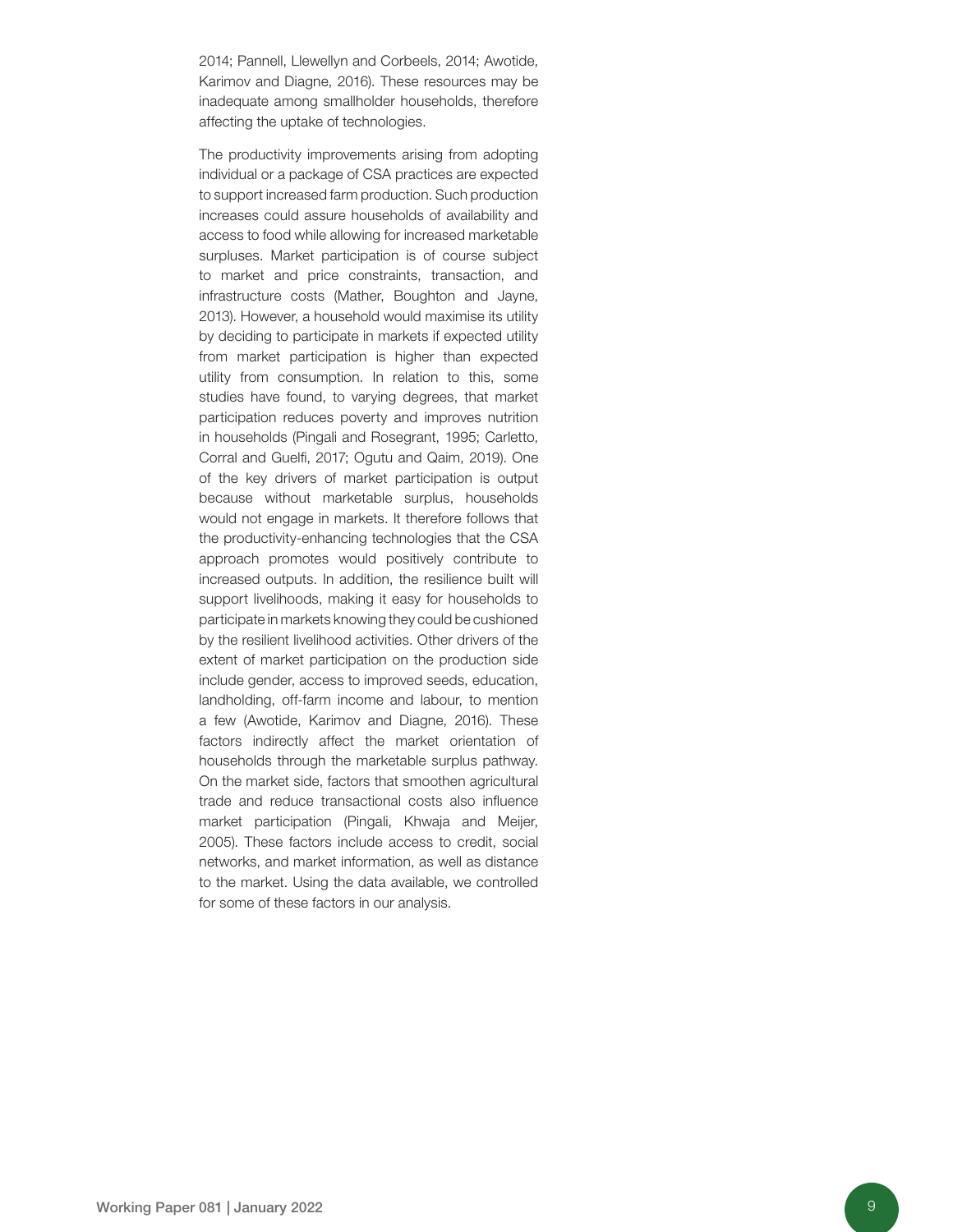2014; Pannell, Llewellyn and Corbeels, 2014; Awotide, Karimov and Diagne, 2016). These resources may be inadequate among smallholder households, therefore affecting the uptake of technologies.

The productivity improvements arising from adopting individual or a package of CSA practices are expected to support increased farm production. Such production increases could assure households of availability and access to food while allowing for increased marketable surpluses. Market participation is of course subject to market and price constraints, transaction, and infrastructure costs (Mather, Boughton and Jayne, 2013). However, a household would maximise its utility by deciding to participate in markets if expected utility from market participation is higher than expected utility from consumption. In relation to this, some studies have found, to varying degrees, that market participation reduces poverty and improves nutrition in households (Pingali and Rosegrant, 1995; Carletto, Corral and Guelfi, 2017; Ogutu and Qaim, 2019). One of the key drivers of market participation is output because without marketable surplus, households would not engage in markets. It therefore follows that the productivity-enhancing technologies that the CSA approach promotes would positively contribute to increased outputs. In addition, the resilience built will support livelihoods, making it easy for households to participate in markets knowing they could be cushioned by the resilient livelihood activities. Other drivers of the extent of market participation on the production side include gender, access to improved seeds, education, landholding, off-farm income and labour, to mention a few (Awotide, Karimov and Diagne, 2016). These factors indirectly affect the market orientation of households through the marketable surplus pathway. On the market side, factors that smoothen agricultural trade and reduce transactional costs also influence market participation (Pingali, Khwaja and Meijer, 2005). These factors include access to credit, social networks, and market information, as well as distance to the market. Using the data available, we controlled for some of these factors in our analysis.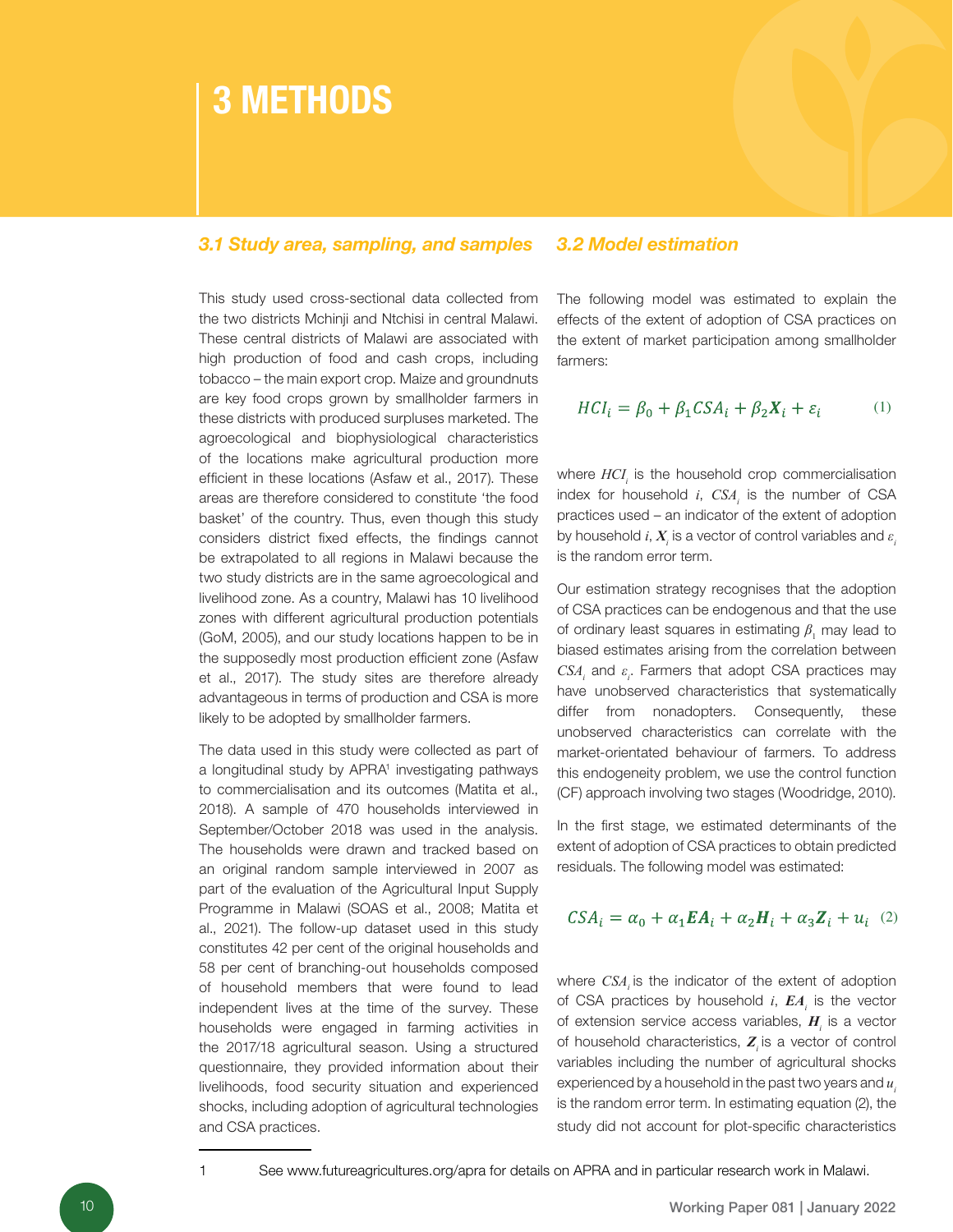### 3 METHODS

#### *3.1 Study area, sampling, and samples 3.2 Model estimation*

This study used cross-sectional data collected from the two districts Mchinji and Ntchisi in central Malawi. These central districts of Malawi are associated with high production of food and cash crops, including tobacco – the main export crop. Maize and groundnuts are key food crops grown by smallholder farmers in these districts with produced surpluses marketed. The agroecological and biophysiological characteristics of the locations make agricultural production more efficient in these locations (Asfaw et al., 2017). These areas are therefore considered to constitute 'the food basket' of the country. Thus, even though this study considers district fixed effects, the findings cannot be extrapolated to all regions in Malawi because the two study districts are in the same agroecological and livelihood zone. As a country, Malawi has 10 livelihood zones with different agricultural production potentials (GoM, 2005), and our study locations happen to be in the supposedly most production efficient zone (Asfaw et al., 2017). The study sites are therefore already advantageous in terms of production and CSA is more likely to be adopted by smallholder farmers.

The data used in this study were collected as part of a longitudinal study by APRA<sup>1</sup> investigating pathways to commercialisation and its outcomes (Matita et al., 2018). A sample of 470 households interviewed in September/October 2018 was used in the analysis. The households were drawn and tracked based on an original random sample interviewed in 2007 as part of the evaluation of the Agricultural Input Supply Programme in Malawi (SOAS et al., 2008; Matita et al., 2021). The follow-up dataset used in this study constitutes 42 per cent of the original households and 58 per cent of branching-out households composed of household members that were found to lead independent lives at the time of the survey. These households were engaged in farming activities in the 2017/18 agricultural season. Using a structured questionnaire, they provided information about their livelihoods, food security situation and experienced shocks, including adoption of agricultural technologies and CSA practices.

The following model was estimated to explain the effects of the extent of adoption of CSA practices on the extent of market participation among smallholder farmers:

$$
HCI_i = \beta_0 + \beta_1 CSA_i + \beta_2 X_i + \varepsilon_i \tag{1}
$$

where  $HCI<sub>i</sub>$  is the household crop commercialisation index for household  $i$ ,  $CSA<sub>i</sub>$  is the number of CSA practices used – an indicator of the extent of adoption by household  $i$ ,  $\boldsymbol{X}_{\!i}$  is a vector of control variables and  $\varepsilon_{\!i}$ is the random error term.

Our estimation strategy recognises that the adoption of CSA practices can be endogenous and that the use of ordinary least squares in estimating  $\beta_{_1}$  may lead to biased estimates arising from the correlation between  $CSA_i$  and  $\varepsilon_i$ . Farmers that adopt CSA practices may have unobserved characteristics that systematically differ from nonadopters. Consequently, these unobserved characteristics can correlate with the market-orientated behaviour of farmers. To address this endogeneity problem, we use the control function (CF) approach involving two stages (Woodridge, 2010).

In the first stage, we estimated determinants of the extent of adoption of CSA practices to obtain predicted residuals. The following model was estimated:

$$
CSA_i = \alpha_0 + \alpha_1 \mathbf{E} A_i + \alpha_2 \mathbf{H}_i + \alpha_3 \mathbf{Z}_i + u_i \quad (2)
$$

where *CSA* is the indicator of the extent of adoption of CSA practices by household *i*, *EA<sup>i</sup>* is the vector of extension service access variables, *H<sup>i</sup>* is a vector of household characteristics, *Zi* is a vector of control variables including the number of agricultural shocks experienced by a household in the past two years and  $u_i$ is the random error term. In estimating equation (2), the study did not account for plot-specific characteristics

1 See www.futureagricultures.org/apra for details on APRA and in particular research work in Malawi.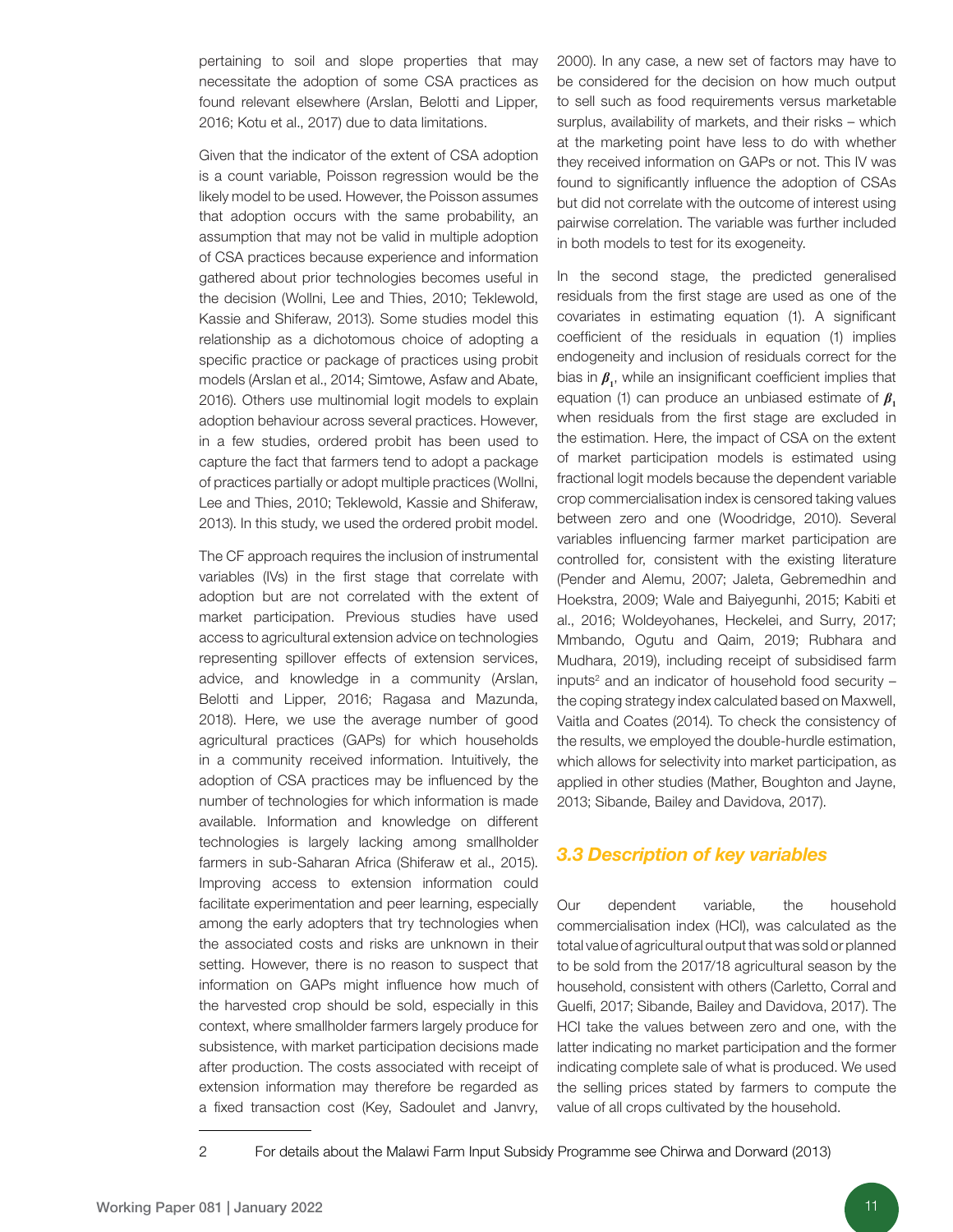pertaining to soil and slope properties that may necessitate the adoption of some CSA practices as found relevant elsewhere (Arslan, Belotti and Lipper, 2016; Kotu et al., 2017) due to data limitations.

Given that the indicator of the extent of CSA adoption is a count variable, Poisson regression would be the likely model to be used. However, the Poisson assumes that adoption occurs with the same probability, an assumption that may not be valid in multiple adoption of CSA practices because experience and information gathered about prior technologies becomes useful in the decision (Wollni, Lee and Thies, 2010; Teklewold, Kassie and Shiferaw, 2013). Some studies model this relationship as a dichotomous choice of adopting a specific practice or package of practices using probit models (Arslan et al., 2014; Simtowe, Asfaw and Abate, 2016). Others use multinomial logit models to explain adoption behaviour across several practices. However, in a few studies, ordered probit has been used to capture the fact that farmers tend to adopt a package of practices partially or adopt multiple practices (Wollni, Lee and Thies, 2010; Teklewold, Kassie and Shiferaw, 2013). In this study, we used the ordered probit model.

The CF approach requires the inclusion of instrumental variables (IVs) in the first stage that correlate with adoption but are not correlated with the extent of market participation. Previous studies have used access to agricultural extension advice on technologies representing spillover effects of extension services, advice, and knowledge in a community (Arslan, Belotti and Lipper, 2016; Ragasa and Mazunda, 2018). Here, we use the average number of good agricultural practices (GAPs) for which households in a community received information. Intuitively, the adoption of CSA practices may be influenced by the number of technologies for which information is made available. Information and knowledge on different technologies is largely lacking among smallholder farmers in sub-Saharan Africa (Shiferaw et al., 2015). Improving access to extension information could facilitate experimentation and peer learning, especially among the early adopters that try technologies when the associated costs and risks are unknown in their setting. However, there is no reason to suspect that information on GAPs might influence how much of the harvested crop should be sold, especially in this context, where smallholder farmers largely produce for subsistence, with market participation decisions made after production. The costs associated with receipt of extension information may therefore be regarded as a fixed transaction cost (Key, Sadoulet and Janvry,

2000). In any case, a new set of factors may have to be considered for the decision on how much output to sell such as food requirements versus marketable surplus, availability of markets, and their risks – which at the marketing point have less to do with whether they received information on GAPs or not. This IV was found to significantly influence the adoption of CSAs but did not correlate with the outcome of interest using pairwise correlation. The variable was further included in both models to test for its exogeneity.

In the second stage, the predicted generalised residuals from the first stage are used as one of the covariates in estimating equation (1). A significant coefficient of the residuals in equation (1) implies endogeneity and inclusion of residuals correct for the bias in *β***<sup>1</sup>** , while an insignificant coefficient implies that equation (1) can produce an unbiased estimate of  $\beta$ , when residuals from the first stage are excluded in the estimation. Here, the impact of CSA on the extent of market participation models is estimated using fractional logit models because the dependent variable crop commercialisation index is censored taking values between zero and one (Woodridge, 2010). Several variables influencing farmer market participation are controlled for, consistent with the existing literature (Pender and Alemu, 2007; Jaleta, Gebremedhin and Hoekstra, 2009; Wale and Baiyegunhi, 2015; Kabiti et al., 2016; Woldeyohanes, Heckelei, and Surry, 2017; Mmbando, Ogutu and Qaim, 2019; Rubhara and Mudhara, 2019), including receipt of subsidised farm inputs<sup>2</sup> and an indicator of household food security  $$ the coping strategy index calculated based on Maxwell, Vaitla and Coates (2014). To check the consistency of the results, we employed the double-hurdle estimation, which allows for selectivity into market participation, as applied in other studies (Mather, Boughton and Jayne, 2013; Sibande, Bailey and Davidova, 2017).

#### *3.3 Description of key variables*

Our dependent variable, the household commercialisation index (HCI), was calculated as the total value of agricultural output that was sold or planned to be sold from the 2017/18 agricultural season by the household, consistent with others (Carletto, Corral and Guelfi, 2017; Sibande, Bailey and Davidova, 2017). The HCI take the values between zero and one, with the latter indicating no market participation and the former indicating complete sale of what is produced. We used the selling prices stated by farmers to compute the value of all crops cultivated by the household.

<sup>2</sup> For details about the Malawi Farm Input Subsidy Programme see Chirwa and Dorward (2013)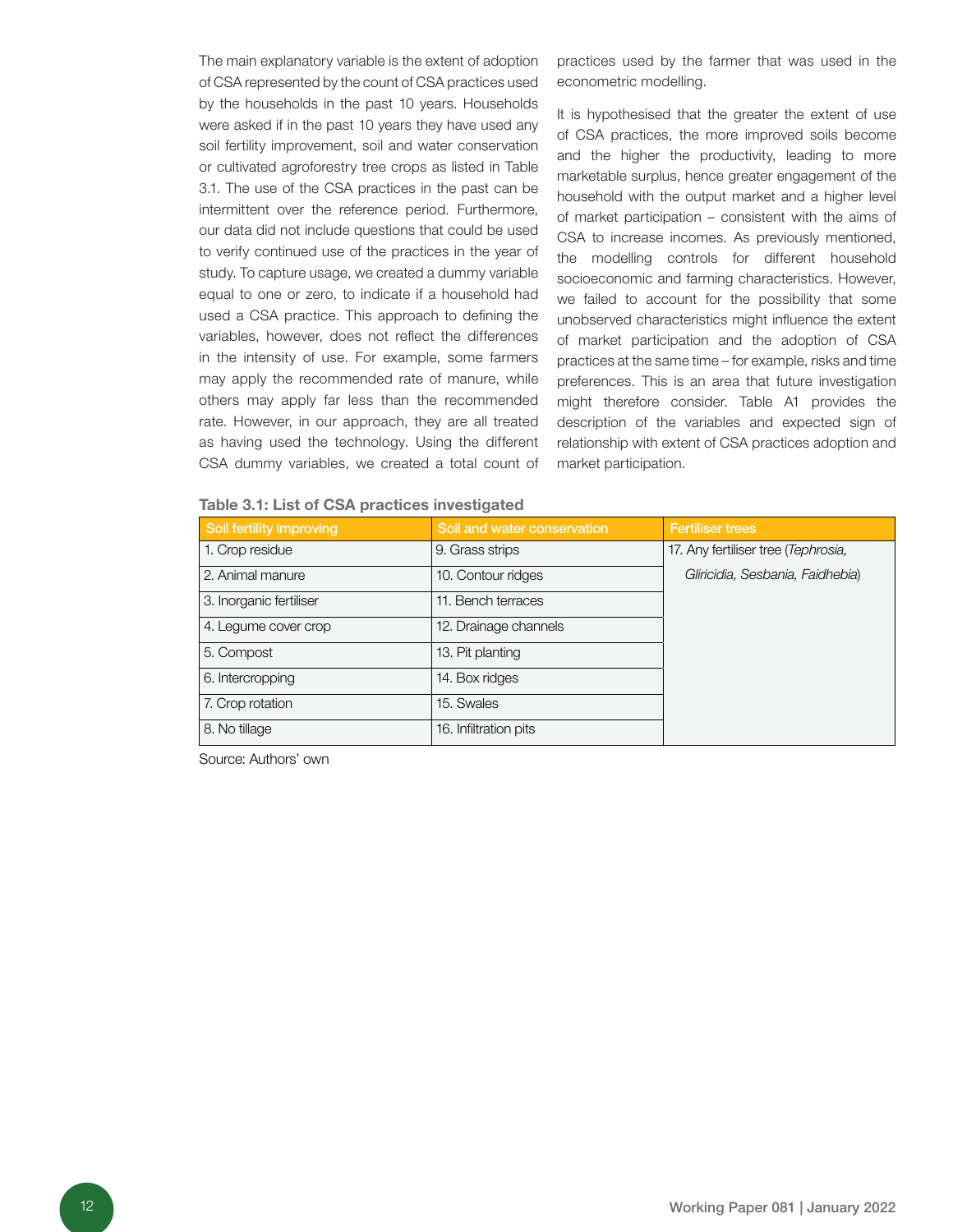The main explanatory variable is the extent of adoption of CSA represented by the count of CSA practices used by the households in the past 10 years. Households were asked if in the past 10 years they have used any soil fertility improvement, soil and water conservation or cultivated agroforestry tree crops as listed in Table 3.1. The use of the CSA practices in the past can be intermittent over the reference period. Furthermore, our data did not include questions that could be used to verify continued use of the practices in the year of study. To capture usage, we created a dummy variable equal to one or zero, to indicate if a household had used a CSA practice. This approach to defining the variables, however, does not reflect the differences in the intensity of use. For example, some farmers may apply the recommended rate of manure, while others may apply far less than the recommended rate. However, in our approach, they are all treated as having used the technology. Using the different CSA dummy variables, we created a total count of practices used by the farmer that was used in the econometric modelling.

It is hypothesised that the greater the extent of use of CSA practices, the more improved soils become and the higher the productivity, leading to more marketable surplus, hence greater engagement of the household with the output market and a higher level of market participation – consistent with the aims of CSA to increase incomes. As previously mentioned, the modelling controls for different household socioeconomic and farming characteristics. However, we failed to account for the possibility that some unobserved characteristics might influence the extent of market participation and the adoption of CSA practices at the same time – for example, risks and time preferences. This is an area that future investigation might therefore consider. Table A1 provides the description of the variables and expected sign of relationship with extent of CSA practices adoption and market participation.

| Soil fertility improving | Soil and water conservation | <b>Fertiliser trees</b>             |  |  |  |  |
|--------------------------|-----------------------------|-------------------------------------|--|--|--|--|
| 1. Crop residue          | 9. Grass strips             | 17. Any fertiliser tree (Tephrosia, |  |  |  |  |
| 2. Animal manure         | 10. Contour ridges          | Gliricidia, Sesbania, Faidhebia)    |  |  |  |  |
| 3. Inorganic fertiliser  | 11. Bench terraces          |                                     |  |  |  |  |
| 4. Legume cover crop     | 12. Drainage channels       |                                     |  |  |  |  |
| 5. Compost               | 13. Pit planting            |                                     |  |  |  |  |
| 6. Intercropping         | 14. Box ridges              |                                     |  |  |  |  |
| 7. Crop rotation         | 15. Swales                  |                                     |  |  |  |  |
| 8. No tillage            | 16. Infiltration pits       |                                     |  |  |  |  |

Table 3.1: List of CSA practices investigated

Source: Authors' own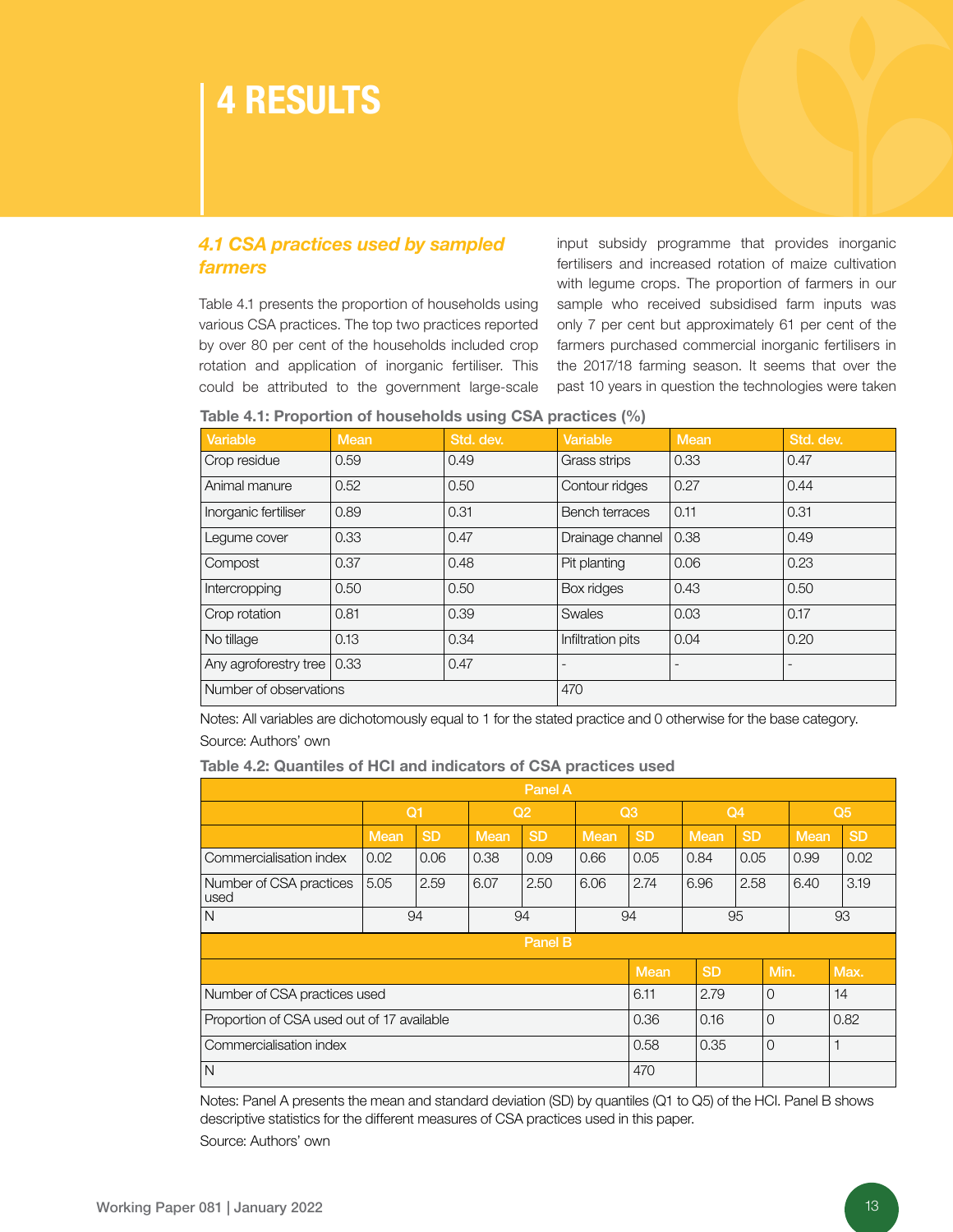### 4 RESULTS

#### *4.1 CSA practices used by sampled farmers*

Table 4.1 presents the proportion of households using various CSA practices. The top two practices reported by over 80 per cent of the households included crop rotation and application of inorganic fertiliser. This could be attributed to the government large-scale

input subsidy programme that provides inorganic fertilisers and increased rotation of maize cultivation with legume crops. The proportion of farmers in our sample who received subsidised farm inputs was only 7 per cent but approximately 61 per cent of the farmers purchased commercial inorganic fertilisers in the 2017/18 farming season. It seems that over the past 10 years in question the technologies were taken

Table 4.1: Proportion of households using CSA practices (%)

| Variable               | <b>Mean</b> | Std. dev. | Variable          | Mean | Std. dev.       |
|------------------------|-------------|-----------|-------------------|------|-----------------|
| Crop residue           | 0.59        | 0.49      | Grass strips      | 0.33 | 0.47            |
| Animal manure          | 0.52        | 0.50      | Contour ridges    | 0.27 | 0.44            |
| Inorganic fertiliser   | 0.89        | 0.31      | Bench terraces    | 0.11 | 0.31            |
| Legume cover           | 0.33        | 0.47      | Drainage channel  | 0.38 | 0.49            |
| Compost                | 0.37        | 0.48      | Pit planting      | 0.06 | 0.23            |
| Intercropping          | 0.50        | 0.50      | Box ridges        | 0.43 | 0.50            |
| Crop rotation          | 0.81        | 0.39      | <b>Swales</b>     | 0.03 | 0.17            |
| No tillage             | 0.13        | 0.34      | Infiltration pits | 0.04 | 0.20            |
| Any agroforestry tree  | 0.33        | 0.47      |                   |      | $\qquad \qquad$ |
| Number of observations |             | 470       |                   |      |                 |

Notes: All variables are dichotomously equal to 1 for the stated practice and 0 otherwise for the base category. Source: Authors' own

| <b>Fable 4.2: Quantiles of HCI and indicators of CSA practices used</b>    |      |           |             |           |             |             |             |           |             |           |
|----------------------------------------------------------------------------|------|-----------|-------------|-----------|-------------|-------------|-------------|-----------|-------------|-----------|
|                                                                            |      |           |             | Panel A   |             |             |             |           |             |           |
| Q <sub>1</sub><br>Q <sub>4</sub><br>Q3<br>Q <sub>5</sub><br>Q <sub>2</sub> |      |           |             |           |             |             |             |           |             |           |
|                                                                            | Mean | <b>SD</b> | <b>Mean</b> | <b>SD</b> | <b>Mean</b> | <b>SD</b>   | <b>Mean</b> | <b>SD</b> | <b>Mean</b> | <b>SD</b> |
| Commercialisation index                                                    | 0.02 | 0.06      | 0.38        | 0.09      | 0.66        | 0.05        | 0.84        | 0.05      | 0.99        | 0.02      |
| Number of CSA practices<br>used                                            | 5.05 | 2.59      | 6.07        | 2.50      | 6.06        | 2.74        | 6.96        | 2.58      | 6.40        | 3.19      |
| N                                                                          |      | 94        |             | 94        |             | 94          |             | 95        |             | 93        |
|                                                                            |      |           |             | Panel B   |             |             |             |           |             |           |
|                                                                            |      |           |             |           |             | <b>Mean</b> | <b>SD</b>   |           | Min.        | Max.      |
| Number of CSA practices used                                               |      |           |             |           |             | 6.11        | 2.79        | $\Omega$  |             | 14        |
| Proportion of CSA used out of 17 available                                 |      |           |             | 0.36      | 0.16        | $\Omega$    |             | 0.82      |             |           |
| Commercialisation index                                                    |      |           |             |           |             | 0.58        | 0.35        | $\Omega$  |             | 1         |
| N                                                                          |      |           |             |           |             | 470         |             |           |             |           |

Notes: Panel A presents the mean and standard deviation (SD) by quantiles (Q1 to Q5) of the HCI. Panel B shows descriptive statistics for the different measures of CSA practices used in this paper. Source: Authors' own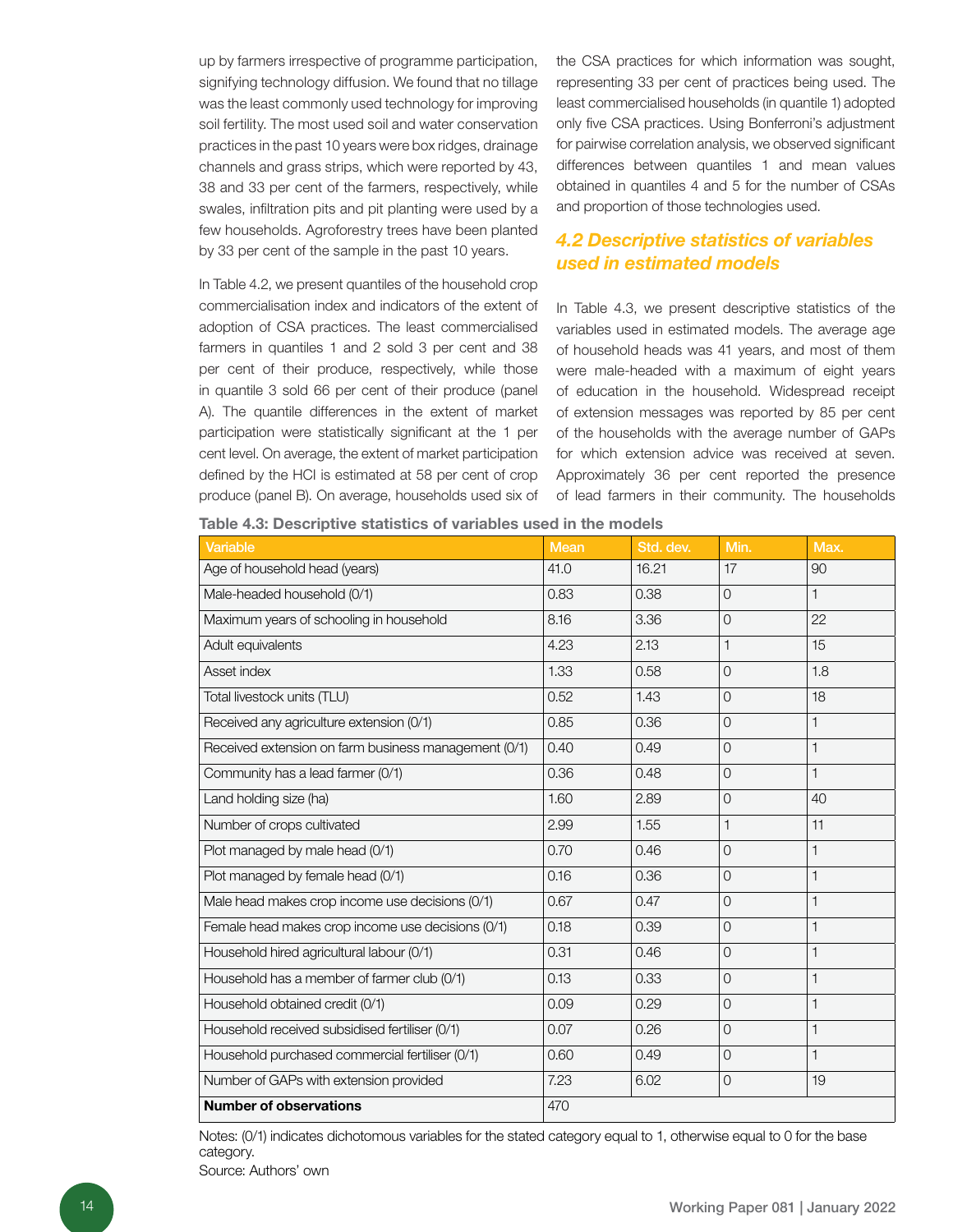up by farmers irrespective of programme participation, signifying technology diffusion. We found that no tillage was the least commonly used technology for improving soil fertility. The most used soil and water conservation practices in the past 10 years were box ridges, drainage channels and grass strips, which were reported by 43, 38 and 33 per cent of the farmers, respectively, while swales, infiltration pits and pit planting were used by a few households. Agroforestry trees have been planted by 33 per cent of the sample in the past 10 years.

In Table 4.2, we present quantiles of the household crop commercialisation index and indicators of the extent of adoption of CSA practices. The least commercialised farmers in quantiles 1 and 2 sold 3 per cent and 38 per cent of their produce, respectively, while those in quantile 3 sold 66 per cent of their produce (panel A). The quantile differences in the extent of market participation were statistically significant at the 1 per cent level. On average, the extent of market participation defined by the HCI is estimated at 58 per cent of crop produce (panel B). On average, households used six of

Table 4.3: Descriptive statistics of variables used in the models

the CSA practices for which information was sought, representing 33 per cent of practices being used. The least commercialised households (in quantile 1) adopted only five CSA practices. Using Bonferroni's adjustment for pairwise correlation analysis, we observed significant differences between quantiles 1 and mean values obtained in quantiles 4 and 5 for the number of CSAs and proportion of those technologies used.

#### *4.2 Descriptive statistics of variables used in estimated models*

In Table 4.3, we present descriptive statistics of the variables used in estimated models. The average age of household heads was 41 years, and most of them were male-headed with a maximum of eight years of education in the household. Widespread receipt of extension messages was reported by 85 per cent of the households with the average number of GAPs for which extension advice was received at seven. Approximately 36 per cent reported the presence of lead farmers in their community. The households

| <b>Variable</b>                                      | <b>Mean</b> | Std. dev. | Min.           | Max.         |
|------------------------------------------------------|-------------|-----------|----------------|--------------|
| Age of household head (years)                        | 41.0        | 16.21     | 17             | 90           |
| Male-headed household (0/1)                          | 0.83        | 0.38      | $\overline{0}$ | $\mathbf{1}$ |
| Maximum years of schooling in household              | 8.16        | 3.36      | $\overline{0}$ | 22           |
| Adult equivalents                                    | 4.23        | 2.13      | 1              | 15           |
| Asset index                                          | 1.33        | 0.58      | $\overline{0}$ | 1.8          |
| Total livestock units (TLU)                          | 0.52        | 1.43      | $\Omega$       | 18           |
| Received any agriculture extension (0/1)             | 0.85        | 0.36      | $\overline{0}$ | $\mathbf{1}$ |
| Received extension on farm business management (0/1) | 0.40        | 0.49      | $\overline{0}$ | $\mathbf{1}$ |
| Community has a lead farmer (0/1)                    | 0.36        | 0.48      | $\Omega$       | $\mathbf{1}$ |
| Land holding size (ha)                               | 1.60        | 2.89      | $\Omega$       | 40           |
| Number of crops cultivated                           | 2.99        | 1.55      | 1              | 11           |
| Plot managed by male head (0/1)                      | 0.70        | 0.46      | $\overline{0}$ | $\mathbf{1}$ |
| Plot managed by female head (0/1)                    | 0.16        | 0.36      | $\Omega$       | 1            |
| Male head makes crop income use decisions (0/1)      | 0.67        | 0.47      | $\Omega$       | 1            |
| Female head makes crop income use decisions (0/1)    | 0.18        | 0.39      | $\Omega$       | $\mathbf{1}$ |
| Household hired agricultural labour (0/1)            | 0.31        | 0.46      | $\overline{0}$ | $\mathbf{1}$ |
| Household has a member of farmer club (0/1)          | 0.13        | 0.33      | $\overline{0}$ | 1            |
| Household obtained credit (0/1)                      | 0.09        | 0.29      | $\overline{0}$ | $\mathbf{1}$ |
| Household received subsidised fertiliser (0/1)       | 0.07        | 0.26      | $\overline{O}$ | $\mathbf{1}$ |
| Household purchased commercial fertiliser (0/1)      | 0.60        | 0.49      | $\overline{0}$ | 1            |
| Number of GAPs with extension provided               | 7.23        | 6.02      | $\overline{0}$ | 19           |
| <b>Number of observations</b>                        | 470         |           |                |              |

Notes: (0/1) indicates dichotomous variables for the stated category equal to 1, otherwise equal to 0 for the base category.

Source: Authors' own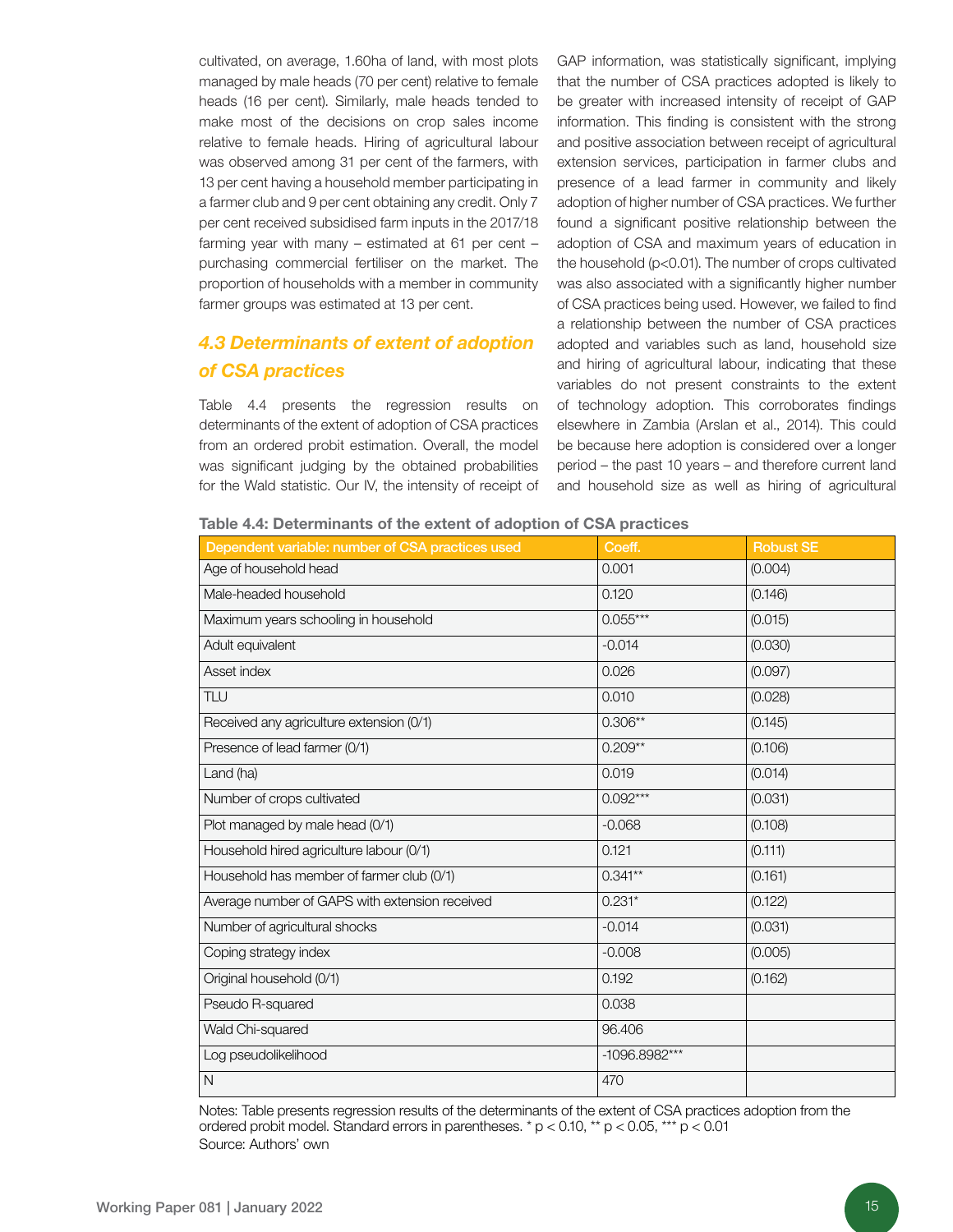cultivated, on average, 1.60ha of land, with most plots managed by male heads (70 per cent) relative to female heads (16 per cent). Similarly, male heads tended to make most of the decisions on crop sales income relative to female heads. Hiring of agricultural labour was observed among 31 per cent of the farmers, with 13 per cent having a household member participating in a farmer club and 9 per cent obtaining any credit. Only 7 per cent received subsidised farm inputs in the 2017/18 farming year with many – estimated at 61 per cent – purchasing commercial fertiliser on the market. The proportion of households with a member in community farmer groups was estimated at 13 per cent.

#### *4.3 Determinants of extent of adoption of CSA practices*

Table 4.4 presents the regression results on determinants of the extent of adoption of CSA practices from an ordered probit estimation. Overall, the model was significant judging by the obtained probabilities for the Wald statistic. Our IV, the intensity of receipt of GAP information, was statistically significant, implying that the number of CSA practices adopted is likely to be greater with increased intensity of receipt of GAP information. This finding is consistent with the strong and positive association between receipt of agricultural extension services, participation in farmer clubs and presence of a lead farmer in community and likely adoption of higher number of CSA practices. We further found a significant positive relationship between the adoption of CSA and maximum years of education in the household (p<0.01). The number of crops cultivated was also associated with a significantly higher number of CSA practices being used. However, we failed to find a relationship between the number of CSA practices adopted and variables such as land, household size and hiring of agricultural labour, indicating that these variables do not present constraints to the extent of technology adoption. This corroborates findings elsewhere in Zambia (Arslan et al., 2014). This could be because here adoption is considered over a longer period – the past 10 years – and therefore current land and household size as well as hiring of agricultural

| Table 4.4: Determinants of the extent of adoption of CSA practices |  |  |  |  |  |  |  |
|--------------------------------------------------------------------|--|--|--|--|--|--|--|
|--------------------------------------------------------------------|--|--|--|--|--|--|--|

| Dependent variable: number of CSA practices used | Coeff.        | <b>Robust SE</b> |
|--------------------------------------------------|---------------|------------------|
| Age of household head                            | 0.001         | (0.004)          |
| Male-headed household                            | 0.120         | (0.146)          |
| Maximum years schooling in household             | $0.055***$    | (0.015)          |
| Adult equivalent                                 | $-0.014$      | (0.030)          |
| Asset index                                      | 0.026         | (0.097)          |
| TLU                                              | 0.010         | (0.028)          |
| Received any agriculture extension (0/1)         | $0.306**$     | (0.145)          |
| Presence of lead farmer (0/1)                    | $0.209**$     | (0.106)          |
| Land (ha)                                        | 0.019         | (0.014)          |
| Number of crops cultivated                       | $0.092***$    | (0.031)          |
| Plot managed by male head (0/1)                  | $-0.068$      | (0.108)          |
| Household hired agriculture labour (0/1)         | 0.121         | (0.111)          |
| Household has member of farmer club (0/1)        | $0.341**$     | (0.161)          |
| Average number of GAPS with extension received   | $0.231*$      | (0.122)          |
| Number of agricultural shocks                    | $-0.014$      | (0.031)          |
| Coping strategy index                            | $-0.008$      | (0.005)          |
| Original household (0/1)                         | 0.192         | (0.162)          |
| Pseudo R-squared                                 | 0.038         |                  |
| Wald Chi-squared                                 | 96.406        |                  |
| Log pseudolikelihood                             | -1096.8982*** |                  |
| $\mathsf{N}$                                     | 470           |                  |

Notes: Table presents regression results of the determinants of the extent of CSA practices adoption from the ordered probit model. Standard errors in parentheses.  $*$  p < 0.10,  $**$  p < 0.05,  $***$  p < 0.01 Source: Authors' own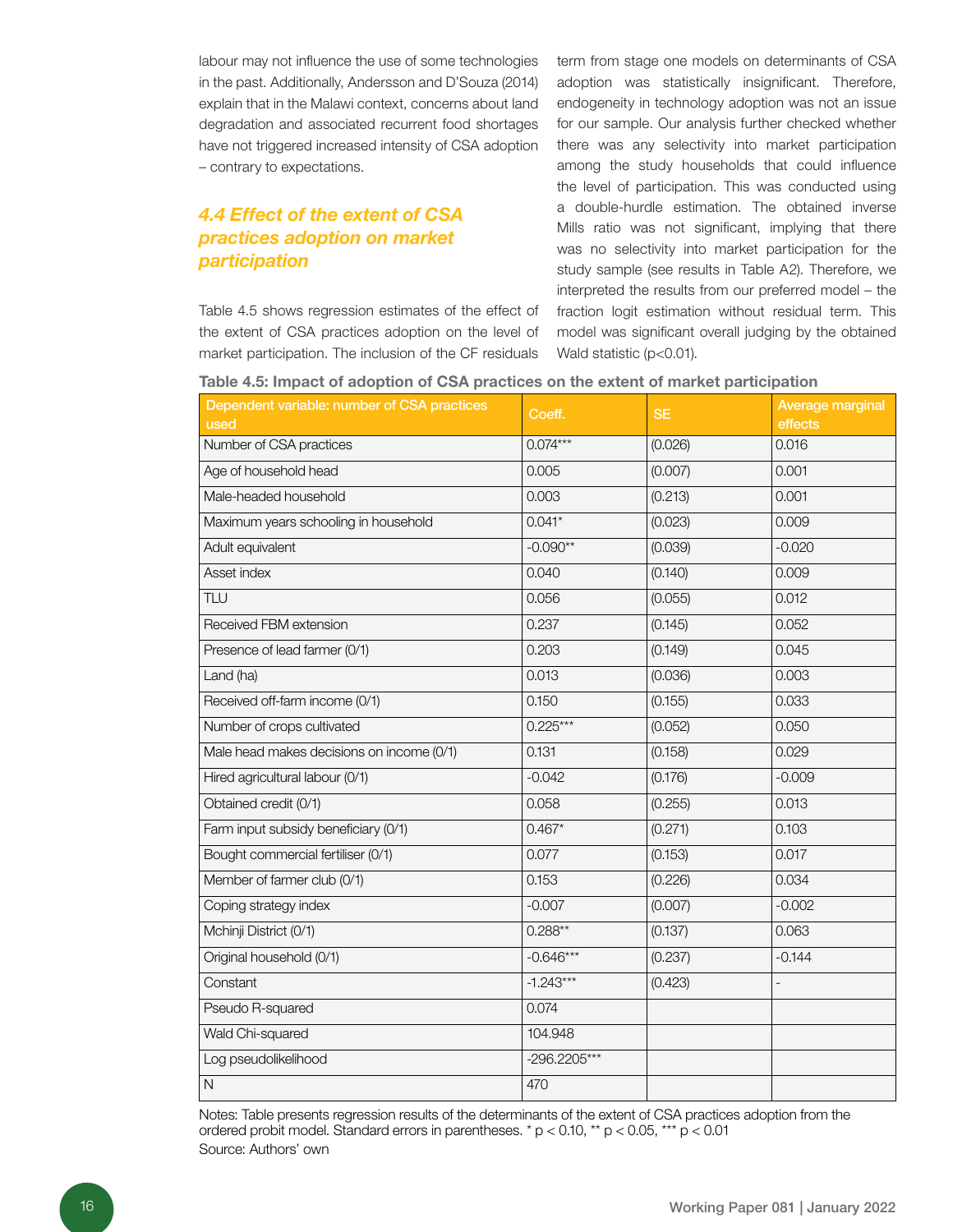labour may not influence the use of some technologies in the past. Additionally, Andersson and D'Souza (2014) explain that in the Malawi context, concerns about land degradation and associated recurrent food shortages have not triggered increased intensity of CSA adoption – contrary to expectations.

#### *4.4 Effect of the extent of CSA practices adoption on market participation*

Table 4.5 shows regression estimates of the effect of the extent of CSA practices adoption on the level of market participation. The inclusion of the CF residuals

term from stage one models on determinants of CSA adoption was statistically insignificant. Therefore, endogeneity in technology adoption was not an issue for our sample. Our analysis further checked whether there was any selectivity into market participation among the study households that could influence the level of participation. This was conducted using a double-hurdle estimation. The obtained inverse Mills ratio was not significant, implying that there was no selectivity into market participation for the study sample (see results in Table A2). Therefore, we interpreted the results from our preferred model – the fraction logit estimation without residual term. This model was significant overall judging by the obtained Wald statistic (p<0.01).

|  |  |  | Table 4.5: Impact of adoption of CSA practices on the extent of market participation |
|--|--|--|--------------------------------------------------------------------------------------|
|--|--|--|--------------------------------------------------------------------------------------|

| Dependent variable: number of CSA practices<br>used | Coeff.       | <b>SE</b> | Average marginal<br>effects |
|-----------------------------------------------------|--------------|-----------|-----------------------------|
| Number of CSA practices                             | $0.074***$   | (0.026)   | 0.016                       |
| Age of household head                               | 0.005        | (0.007)   | 0.001                       |
| Male-headed household                               | 0.003        | (0.213)   | 0.001                       |
| Maximum years schooling in household                | $0.041*$     | (0.023)   | 0.009                       |
| Adult equivalent                                    | $-0.090**$   | (0.039)   | $-0.020$                    |
| Asset index                                         | 0.040        | (0.140)   | 0.009                       |
| TLU                                                 | 0.056        | (0.055)   | 0.012                       |
| Received FBM extension                              | 0.237        | (0.145)   | 0.052                       |
| Presence of lead farmer (0/1)                       | 0.203        | (0.149)   | 0.045                       |
| Land (ha)                                           | 0.013        | (0.036)   | 0.003                       |
| Received off-farm income (0/1)                      | 0.150        | (0.155)   | 0.033                       |
| Number of crops cultivated                          | $0.225***$   | (0.052)   | 0.050                       |
| Male head makes decisions on income (0/1)           | 0.131        | (0.158)   | 0.029                       |
| Hired agricultural labour (0/1)                     | $-0.042$     | (0.176)   | $-0.009$                    |
| Obtained credit (0/1)                               | 0.058        | (0.255)   | 0.013                       |
| Farm input subsidy beneficiary (0/1)                | $0.467*$     | (0.271)   | 0.103                       |
| Bought commercial fertiliser (0/1)                  | 0.077        | (0.153)   | 0.017                       |
| Member of farmer club (0/1)                         | 0.153        | (0.226)   | 0.034                       |
| Coping strategy index                               | $-0.007$     | (0.007)   | $-0.002$                    |
| Mchinji District (0/1)                              | $0.288**$    | (0.137)   | 0.063                       |
| Original household (0/1)                            | $-0.646***$  | (0.237)   | $-0.144$                    |
| Constant                                            | $-1.243***$  | (0.423)   | $\overline{a}$              |
| Pseudo R-squared                                    | 0.074        |           |                             |
| Wald Chi-squared                                    | 104.948      |           |                             |
| Log pseudolikelihood                                | -296.2205*** |           |                             |
| $\mathsf{N}$                                        | 470          |           |                             |

Notes: Table presents regression results of the determinants of the extent of CSA practices adoption from the ordered probit model. Standard errors in parentheses. \* p < 0.10, \*\* p < 0.05, \*\*\* p < 0.01 Source: Authors' own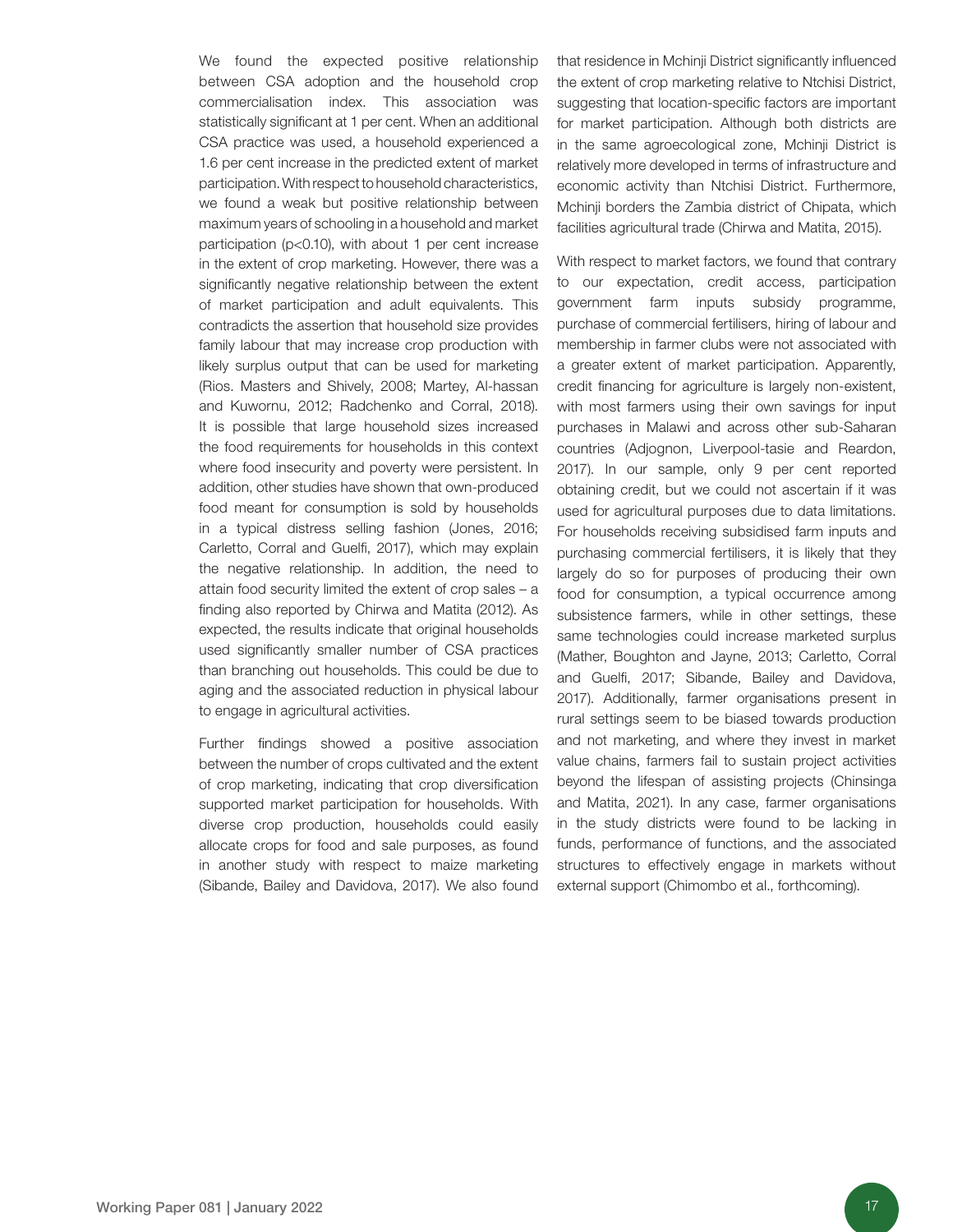We found the expected positive relationship between CSA adoption and the household crop commercialisation index. This association was statistically significant at 1 per cent. When an additional CSA practice was used, a household experienced a 1.6 per cent increase in the predicted extent of market participation. With respect to household characteristics, we found a weak but positive relationship between maximum years of schooling in a household and market participation (p<0.10), with about 1 per cent increase in the extent of crop marketing. However, there was a significantly negative relationship between the extent of market participation and adult equivalents. This contradicts the assertion that household size provides family labour that may increase crop production with likely surplus output that can be used for marketing (Rios. Masters and Shively, 2008; Martey, Al-hassan and Kuwornu, 2012; Radchenko and Corral, 2018). It is possible that large household sizes increased the food requirements for households in this context where food insecurity and poverty were persistent. In addition, other studies have shown that own-produced food meant for consumption is sold by households in a typical distress selling fashion (Jones, 2016; Carletto, Corral and Guelfi, 2017), which may explain the negative relationship. In addition, the need to attain food security limited the extent of crop sales – a finding also reported by Chirwa and Matita (2012). As expected, the results indicate that original households used significantly smaller number of CSA practices than branching out households. This could be due to aging and the associated reduction in physical labour to engage in agricultural activities.

Further findings showed a positive association between the number of crops cultivated and the extent of crop marketing, indicating that crop diversification supported market participation for households. With diverse crop production, households could easily allocate crops for food and sale purposes, as found in another study with respect to maize marketing (Sibande, Bailey and Davidova, 2017). We also found that residence in Mchinji District significantly influenced the extent of crop marketing relative to Ntchisi District, suggesting that location-specific factors are important for market participation. Although both districts are in the same agroecological zone, Mchinji District is relatively more developed in terms of infrastructure and economic activity than Ntchisi District. Furthermore, Mchinji borders the Zambia district of Chipata, which facilities agricultural trade (Chirwa and Matita, 2015).

With respect to market factors, we found that contrary to our expectation, credit access, participation government farm inputs subsidy programme, purchase of commercial fertilisers, hiring of labour and membership in farmer clubs were not associated with a greater extent of market participation. Apparently, credit financing for agriculture is largely non-existent, with most farmers using their own savings for input purchases in Malawi and across other sub-Saharan countries (Adjognon, Liverpool-tasie and Reardon, 2017). In our sample, only 9 per cent reported obtaining credit, but we could not ascertain if it was used for agricultural purposes due to data limitations. For households receiving subsidised farm inputs and purchasing commercial fertilisers, it is likely that they largely do so for purposes of producing their own food for consumption, a typical occurrence among subsistence farmers, while in other settings, these same technologies could increase marketed surplus (Mather, Boughton and Jayne, 2013; Carletto, Corral and Guelfi, 2017; Sibande, Bailey and Davidova, 2017). Additionally, farmer organisations present in rural settings seem to be biased towards production and not marketing, and where they invest in market value chains, farmers fail to sustain project activities beyond the lifespan of assisting projects (Chinsinga and Matita, 2021). In any case, farmer organisations in the study districts were found to be lacking in funds, performance of functions, and the associated structures to effectively engage in markets without external support (Chimombo et al., forthcoming).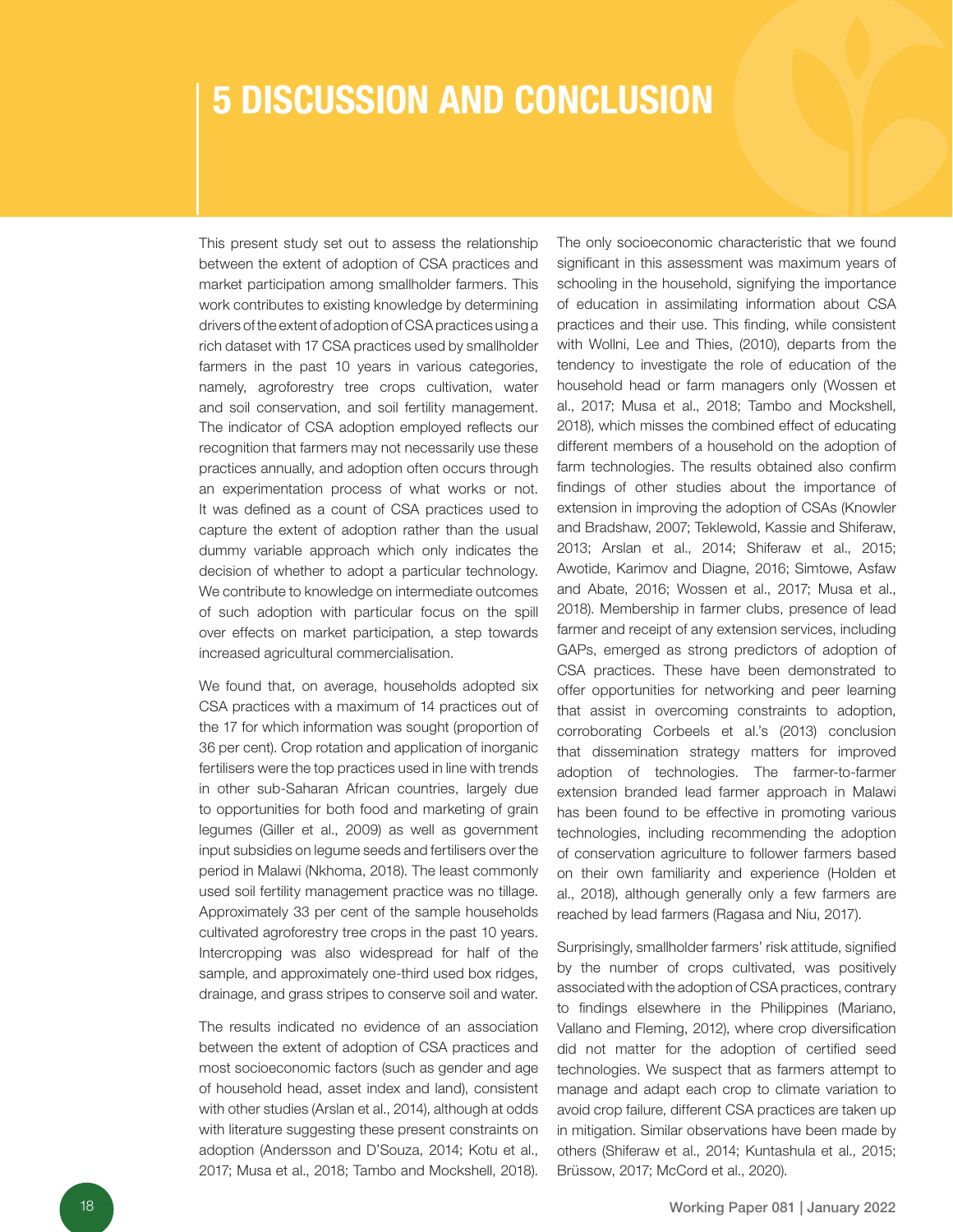### 5 DISCUSSION AND CONCLUSION

This present study set out to assess the relationship between the extent of adoption of CSA practices and market participation among smallholder farmers. This work contributes to existing knowledge by determining drivers of the extent of adoption of CSA practices using a rich dataset with 17 CSA practices used by smallholder farmers in the past 10 years in various categories, namely, agroforestry tree crops cultivation, water and soil conservation, and soil fertility management. The indicator of CSA adoption employed reflects our recognition that farmers may not necessarily use these practices annually, and adoption often occurs through an experimentation process of what works or not. It was defined as a count of CSA practices used to capture the extent of adoption rather than the usual dummy variable approach which only indicates the decision of whether to adopt a particular technology. We contribute to knowledge on intermediate outcomes of such adoption with particular focus on the spill over effects on market participation, a step towards increased agricultural commercialisation.

We found that, on average, households adopted six CSA practices with a maximum of 14 practices out of the 17 for which information was sought (proportion of 36 per cent). Crop rotation and application of inorganic fertilisers were the top practices used in line with trends in other sub-Saharan African countries, largely due to opportunities for both food and marketing of grain legumes (Giller et al., 2009) as well as government input subsidies on legume seeds and fertilisers over the period in Malawi (Nkhoma, 2018). The least commonly used soil fertility management practice was no tillage. Approximately 33 per cent of the sample households cultivated agroforestry tree crops in the past 10 years. Intercropping was also widespread for half of the sample, and approximately one-third used box ridges, drainage, and grass stripes to conserve soil and water.

The results indicated no evidence of an association between the extent of adoption of CSA practices and most socioeconomic factors (such as gender and age of household head, asset index and land), consistent with other studies (Arslan et al., 2014), although at odds with literature suggesting these present constraints on adoption (Andersson and D'Souza, 2014; Kotu et al., 2017; Musa et al., 2018; Tambo and Mockshell, 2018).

The only socioeconomic characteristic that we found significant in this assessment was maximum years of schooling in the household, signifying the importance of education in assimilating information about CSA practices and their use. This finding, while consistent with Wollni, Lee and Thies, (2010), departs from the tendency to investigate the role of education of the household head or farm managers only (Wossen et al., 2017; Musa et al., 2018; Tambo and Mockshell, 2018), which misses the combined effect of educating different members of a household on the adoption of farm technologies. The results obtained also confirm findings of other studies about the importance of extension in improving the adoption of CSAs (Knowler and Bradshaw, 2007; Teklewold, Kassie and Shiferaw, 2013; Arslan et al., 2014; Shiferaw et al., 2015; Awotide, Karimov and Diagne, 2016; Simtowe, Asfaw and Abate, 2016; Wossen et al., 2017; Musa et al., 2018). Membership in farmer clubs, presence of lead farmer and receipt of any extension services, including GAPs, emerged as strong predictors of adoption of CSA practices. These have been demonstrated to offer opportunities for networking and peer learning that assist in overcoming constraints to adoption, corroborating Corbeels et al.'s (2013) conclusion that dissemination strategy matters for improved adoption of technologies. The farmer-to-farmer extension branded lead farmer approach in Malawi has been found to be effective in promoting various technologies, including recommending the adoption of conservation agriculture to follower farmers based on their own familiarity and experience (Holden et al., 2018), although generally only a few farmers are reached by lead farmers (Ragasa and Niu, 2017).

Surprisingly, smallholder farmers' risk attitude, signified by the number of crops cultivated, was positively associated with the adoption of CSA practices, contrary to findings elsewhere in the Philippines (Mariano, Vallano and Fleming, 2012), where crop diversification did not matter for the adoption of certified seed technologies. We suspect that as farmers attempt to manage and adapt each crop to climate variation to avoid crop failure, different CSA practices are taken up in mitigation. Similar observations have been made by others (Shiferaw et al., 2014; Kuntashula et al., 2015; Brüssow, 2017; McCord et al., 2020).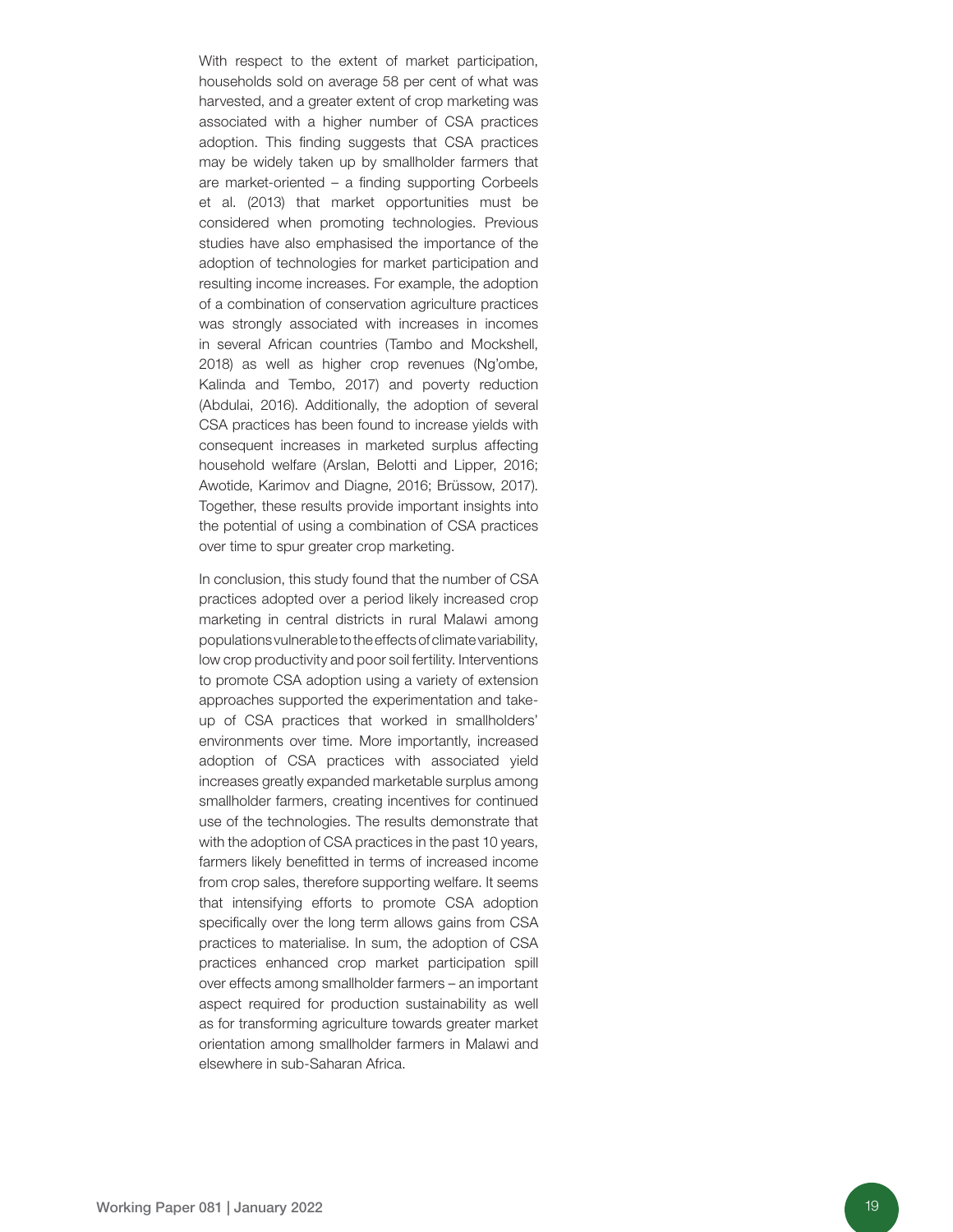With respect to the extent of market participation, households sold on average 58 per cent of what was harvested, and a greater extent of crop marketing was associated with a higher number of CSA practices adoption. This finding suggests that CSA practices may be widely taken up by smallholder farmers that are market-oriented – a finding supporting Corbeels et al. (2013) that market opportunities must be considered when promoting technologies. Previous studies have also emphasised the importance of the adoption of technologies for market participation and resulting income increases. For example, the adoption of a combination of conservation agriculture practices was strongly associated with increases in incomes in several African countries (Tambo and Mockshell, 2018) as well as higher crop revenues (Ng'ombe, Kalinda and Tembo, 2017) and poverty reduction (Abdulai, 2016). Additionally, the adoption of several CSA practices has been found to increase yields with consequent increases in marketed surplus affecting household welfare (Arslan, Belotti and Lipper, 2016; Awotide, Karimov and Diagne, 2016; Brüssow, 2017). Together, these results provide important insights into the potential of using a combination of CSA practices over time to spur greater crop marketing.

In conclusion, this study found that the number of CSA practices adopted over a period likely increased crop marketing in central districts in rural Malawi among populations vulnerable to the effects of climate variability, low crop productivity and poor soil fertility. Interventions to promote CSA adoption using a variety of extension approaches supported the experimentation and takeup of CSA practices that worked in smallholders' environments over time. More importantly, increased adoption of CSA practices with associated yield increases greatly expanded marketable surplus among smallholder farmers, creating incentives for continued use of the technologies. The results demonstrate that with the adoption of CSA practices in the past 10 years, farmers likely benefitted in terms of increased income from crop sales, therefore supporting welfare. It seems that intensifying efforts to promote CSA adoption specifically over the long term allows gains from CSA practices to materialise. In sum, the adoption of CSA practices enhanced crop market participation spill over effects among smallholder farmers – an important aspect required for production sustainability as well as for transforming agriculture towards greater market orientation among smallholder farmers in Malawi and elsewhere in sub-Saharan Africa.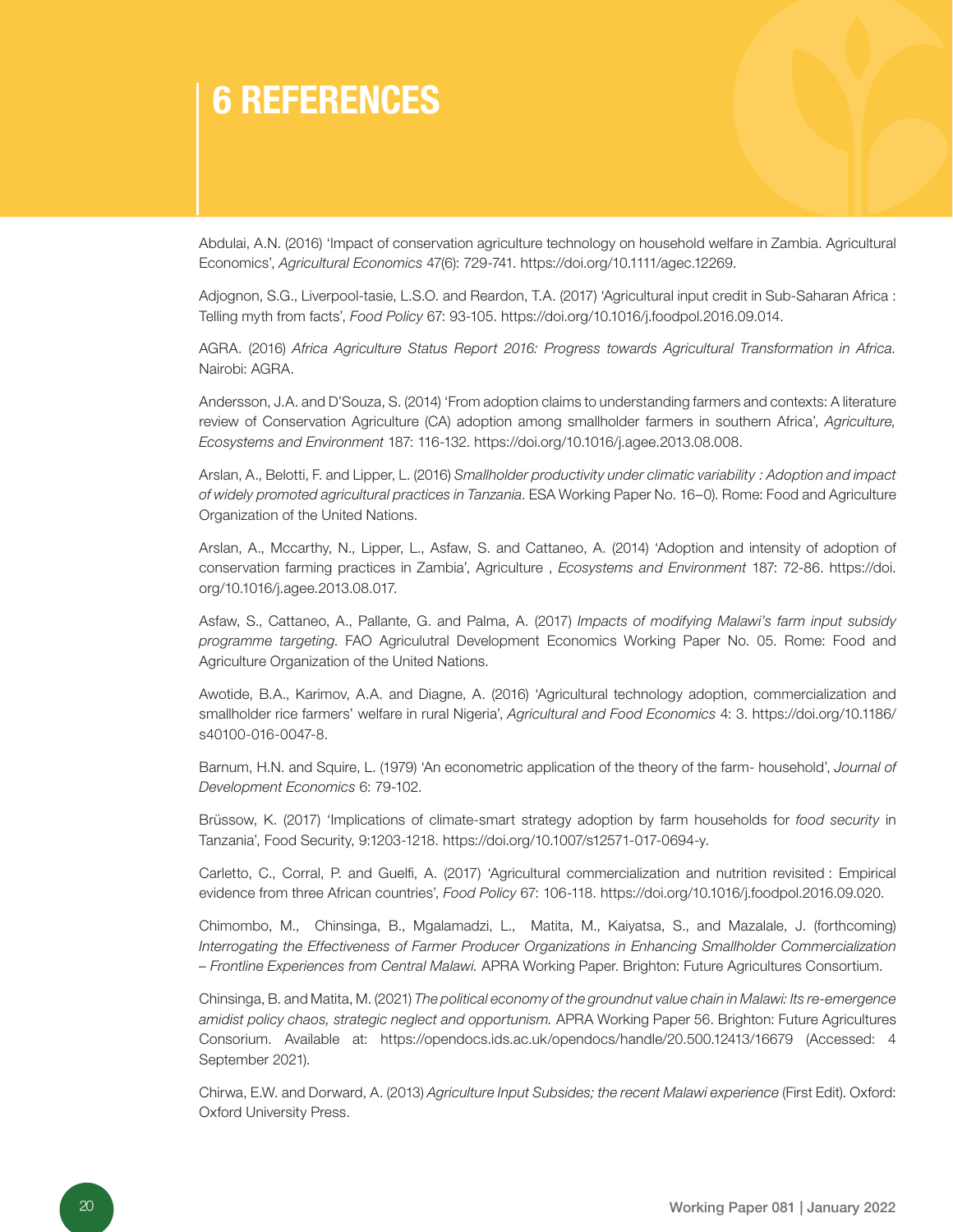### 6 REFERENCES

Abdulai, A.N. (2016) 'Impact of conservation agriculture technology on household welfare in Zambia. Agricultural Economics', *Agricultural Economics* 47(6): 729-741. https://doi.org/10.1111/agec.12269.

Adjognon, S.G., Liverpool-tasie, L.S.O. and Reardon, T.A. (2017) 'Agricultural input credit in Sub-Saharan Africa : Telling myth from facts', *Food Policy* 67: 93-105. https://doi.org/10.1016/j.foodpol.2016.09.014.

AGRA. (2016) *Africa Agriculture Status Report 2016: Progress towards Agricultural Transformation in Africa.*  Nairobi: AGRA.

Andersson, J.A. and D'Souza, S. (2014) 'From adoption claims to understanding farmers and contexts: A literature review of Conservation Agriculture (CA) adoption among smallholder farmers in southern Africa', *Agriculture, Ecosystems and Environment* 187: 116-132. https://doi.org/10.1016/j.agee.2013.08.008.

Arslan, A., Belotti, F. and Lipper, L. (2016) *Smallholder productivity under climatic variability : Adoption and impact of widely promoted agricultural practices in Tanzania*. ESA Working Paper No. 16–0). Rome: Food and Agriculture Organization of the United Nations.

Arslan, A., Mccarthy, N., Lipper, L., Asfaw, S. and Cattaneo, A. (2014) 'Adoption and intensity of adoption of conservation farming practices in Zambia', Agriculture , *Ecosystems and Environment* 187: 72-86. [https://doi.](https://doi.org/10.1016/j.agee.2013.08.017.
)  [org/10.1016/j.agee.2013.08.017.](https://doi.org/10.1016/j.agee.2013.08.017.
)

Asfaw, S., Cattaneo, A., Pallante, G. and Palma, A. (2017) *Impacts of modifying Malawi's farm input subsidy programme targeting*. FAO Agriculutral Development Economics Working Paper No. 05. Rome: Food and Agriculture Organization of the United Nations.

Awotide, B.A., Karimov, A.A. and Diagne, A. (2016) 'Agricultural technology adoption, commercialization and smallholder rice farmers' welfare in rural Nigeria', *Agricultural and Food Economics* 4: 3[. https://doi.org/10.1186/](https://doi.org/10.1186/s40100-016-0047-8.
) [s40100-016-0047-8.](https://doi.org/10.1186/s40100-016-0047-8.
)

Barnum, H.N. and Squire, L. (1979) 'An econometric application of the theory of the farm- household', *Journal of Development Economics* 6: 79-102.

Brüssow, K. (2017) 'Implications of climate-smart strategy adoption by farm households for *food security* in Tanzania', Food Security, 9:1203-1218. https://doi.org/10.1007/s12571-017-0694-y.

Carletto, C., Corral, P. and Guelfi, A. (2017) 'Agricultural commercialization and nutrition revisited : Empirical evidence from three African countries', *Food Policy* 67: 106-118. https://doi.org/10.1016/j.foodpol.2016.09.020.

Chimombo, M., Chinsinga, B., Mgalamadzi, L., Matita, M., Kaiyatsa, S., and Mazalale, J. (forthcoming) *Interrogating the Effectiveness of Farmer Producer Organizations in Enhancing Smallholder Commercialization – Frontline Experiences from Central Malawi.* APRA Working Paper. Brighton: Future Agricultures Consortium.

Chinsinga, B. and Matita, M. (2021) *The political economy of the groundnut value chain in Malawi: Its re-emergence amidist policy chaos, strategic neglect and opportunism.* APRA Working Paper 56. Brighton: Future Agricultures Consorium. Available at: https://opendocs.ids.ac.uk/opendocs/handle/20.500.12413/16679 (Accessed: 4 September 2021).

Chirwa, E.W. and Dorward, A. (2013) *Agriculture Input Subsides; the recent Malawi experience* (First Edit). Oxford: Oxford University Press.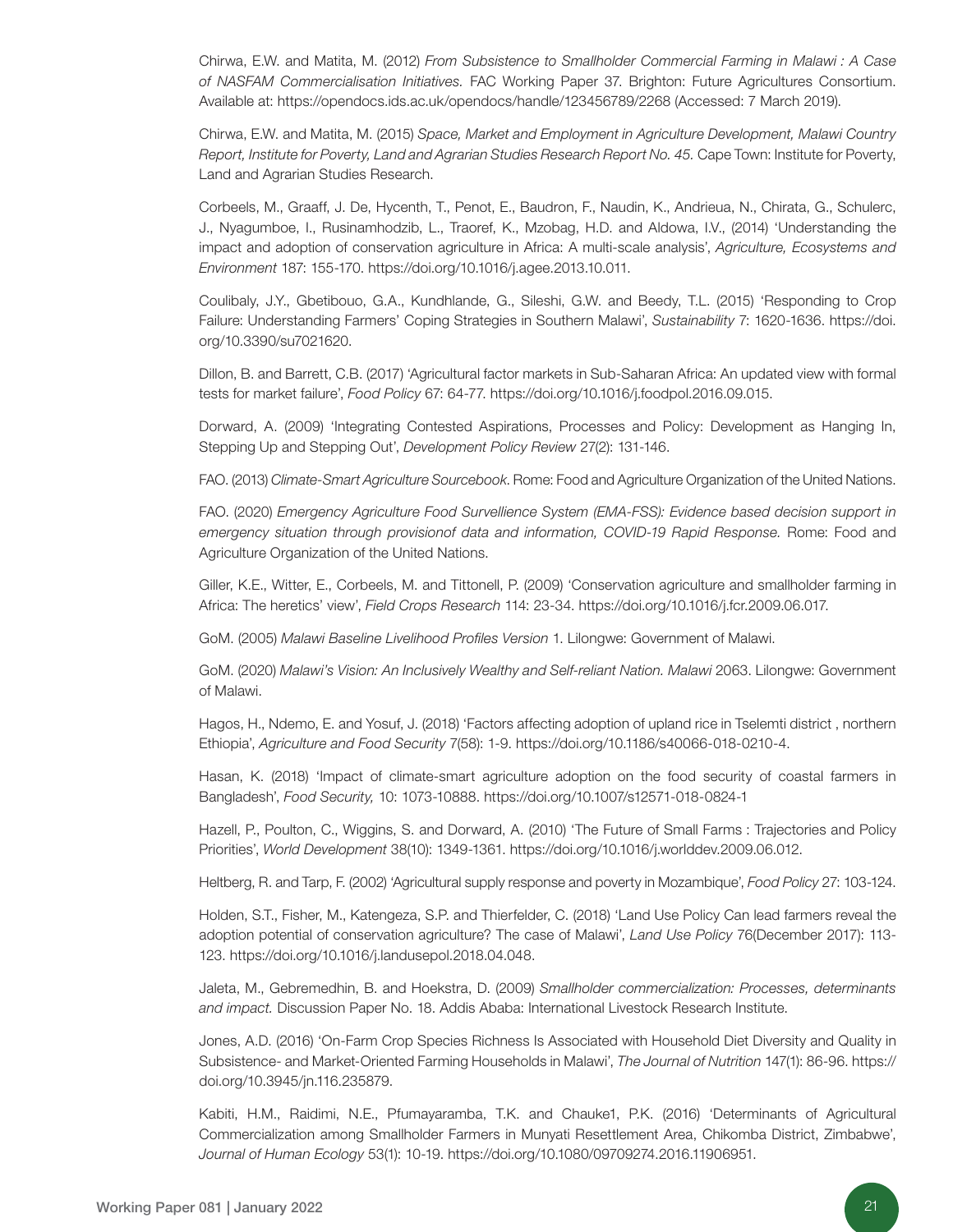Chirwa, E.W. and Matita, M. (2012) *From Subsistence to Smallholder Commercial Farming in Malawi : A Case of NASFAM Commercialisation Initiatives.* FAC Working Paper 37. Brighton: Future Agricultures Consortium. Available at: https://opendocs.ids.ac.uk/opendocs/handle/123456789/2268 (Accessed: 7 March 2019).

Chirwa, E.W. and Matita, M. (2015) *Space, Market and Employment in Agriculture Development, Malawi Country Report, Institute for Poverty, Land and Agrarian Studies Research Report No. 45.* Cape Town: Institute for Poverty, Land and Agrarian Studies Research.

Corbeels, M., Graaff, J. De, Hycenth, T., Penot, E., Baudron, F., Naudin, K., Andrieua, N., Chirata, G., Schulerc, J., Nyagumboe, I., Rusinamhodzib, L., Traoref, K., Mzobag, H.D. and Aldowa, I.V., (2014) 'Understanding the impact and adoption of conservation agriculture in Africa: A multi-scale analysis', *Agriculture, Ecosystems and Environment* 187: 155-170. https://doi.org/10.1016/j.agee.2013.10.011.

Coulibaly, J.Y., Gbetibouo, G.A., Kundhlande, G., Sileshi, G.W. and Beedy, T.L. (2015) 'Responding to Crop Failure: Understanding Farmers' Coping Strategies in Southern Malawi', *Sustainability* 7: 1620-163[6. https://doi.](https://doi.org/10.3390/su7021620.
) [org/10.3390/su7021620.](https://doi.org/10.3390/su7021620.
)

Dillon, B. and Barrett, C.B. (2017) 'Agricultural factor markets in Sub-Saharan Africa: An updated view with formal tests for market failure', *Food Policy* 67: 64-77. https://doi.org/10.1016/j.foodpol.2016.09.015.

Dorward, A. (2009) 'Integrating Contested Aspirations, Processes and Policy: Development as Hanging In, Stepping Up and Stepping Out', *Development Policy Review* 27(2): 131-146.

FAO. (2013) *Climate-Smart Agriculture Sourcebook*. Rome: Food and Agriculture Organization of the United Nations.

FAO. (2020) *Emergency Agriculture Food Survellience System (EMA-FSS): Evidence based decision support in emergency situation through provisionof data and information, COVID-19 Rapid Response.* Rome: Food and Agriculture Organization of the United Nations.

Giller, K.E., Witter, E., Corbeels, M. and Tittonell, P. (2009) 'Conservation agriculture and smallholder farming in Africa: The heretics' view', *Field Crops Research* 114: 23-34. https://doi.org/10.1016/j.fcr.2009.06.017.

GoM. (2005) *Malawi Baseline Livelihood Profiles Version* 1. Lilongwe: Government of Malawi.

GoM. (2020) *Malawi's Vision: An Inclusively Wealthy and Self-reliant Nation. Malawi* 2063. Lilongwe: Government of Malawi.

Hagos, H., Ndemo, E. and Yosuf, J. (2018) 'Factors affecting adoption of upland rice in Tselemti district , northern Ethiopia', *Agriculture and Food Security* 7(58): 1-9. https://doi.org/10.1186/s40066-018-0210-4.

Hasan, K. (2018) 'Impact of climate-smart agriculture adoption on the food security of coastal farmers in Bangladesh', *Food Security,* 10: 1073-10888. https://doi.org/10.1007/s12571-018-0824-1

Hazell, P., Poulton, C., Wiggins, S. and Dorward, A. (2010) 'The Future of Small Farms : Trajectories and Policy Priorities', *World Development* 38(10): 1349-1361. https://doi.org/10.1016/j.worlddev.2009.06.012.

Heltberg, R. and Tarp, F. (2002) 'Agricultural supply response and poverty in Mozambique', *Food Policy* 27: 103-124.

Holden, S.T., Fisher, M., Katengeza, S.P. and Thierfelder, C. (2018) 'Land Use Policy Can lead farmers reveal the adoption potential of conservation agriculture? The case of Malawi', *Land Use Policy* 76(December 2017): 113- 123. https://doi.org/10.1016/j.landusepol.2018.04.048.

Jaleta, M., Gebremedhin, B. and Hoekstra, D. (2009) *Smallholder commercialization: Processes, determinants and impact.* Discussion Paper No. 18. Addis Ababa: International Livestock Research Institute.

Jones, A.D. (2016) 'On-Farm Crop Species Richness Is Associated with Household Diet Diversity and Quality in Subsistence- and Market-Oriented Farming Households in Malawi', *The Journal of Nutrition* 147(1): 86-96. https:// doi.org/10.3945/jn.116.235879.

Kabiti, H.M., Raidimi, N.E., Pfumayaramba, T.K. and Chauke1, P.K. (2016) 'Determinants of Agricultural Commercialization among Smallholder Farmers in Munyati Resettlement Area, Chikomba District, Zimbabwe', *Journal of Human Ecology* 53(1): 10-19. https://doi.org/10.1080/09709274.2016.11906951.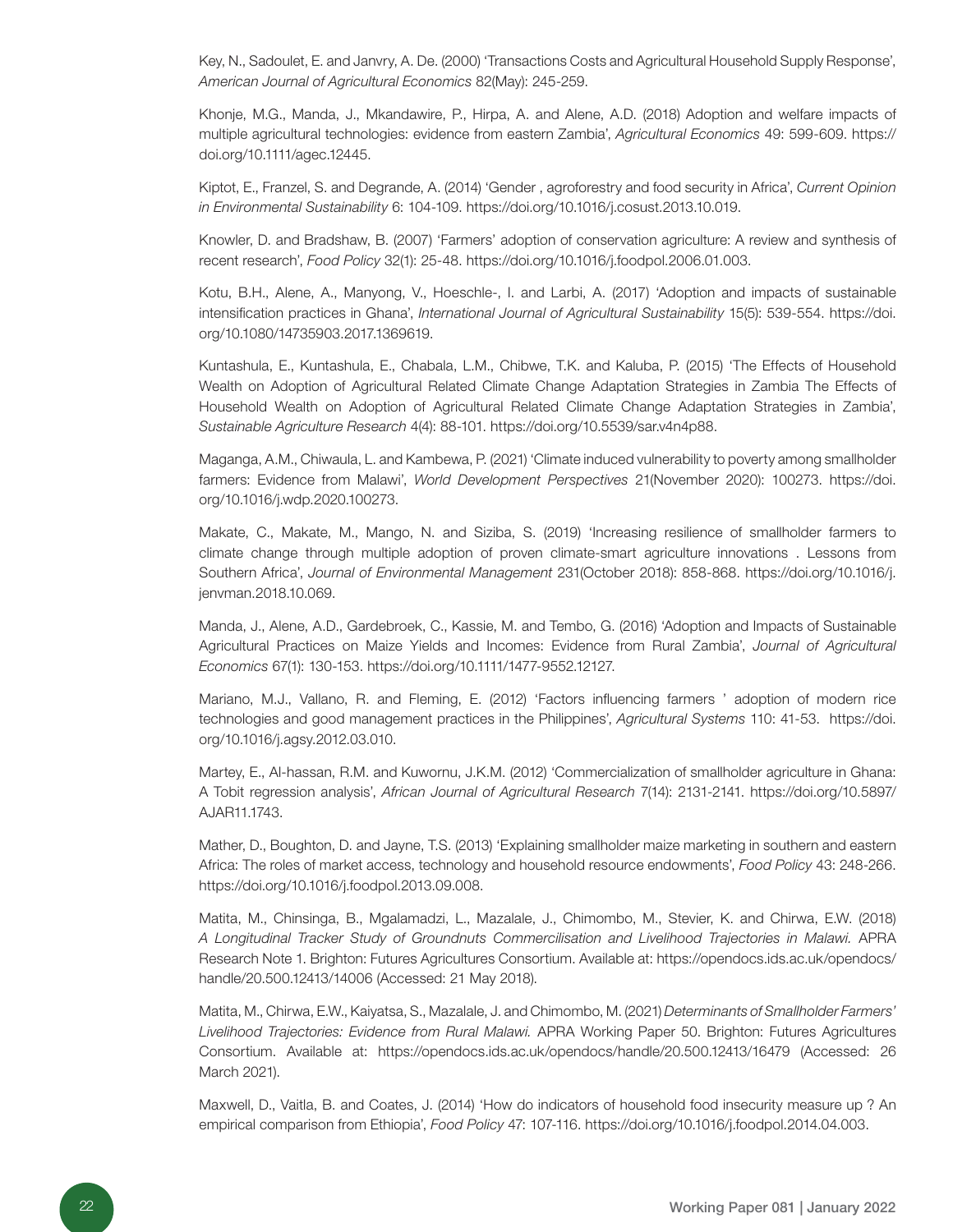Key, N., Sadoulet, E. and Janvry, A. De. (2000) 'Transactions Costs and Agricultural Household Supply Response', *American Journal of Agricultural Economics* 82(May): 245-259.

Khonje, M.G., Manda, J., Mkandawire, P., Hirpa, A. and Alene, A.D. (2018) Adoption and welfare impacts of multiple agricultural technologies: evidence from eastern Zambia', *Agricultural Economics* 49: 599-609. https:// doi.org/10.1111/agec.12445.

Kiptot, E., Franzel, S. and Degrande, A. (2014) 'Gender , agroforestry and food security in Africa', *Current Opinion in Environmental Sustainability* 6: 104-109. https://doi.org/10.1016/j.cosust.2013.10.019.

Knowler, D. and Bradshaw, B. (2007) 'Farmers' adoption of conservation agriculture: A review and synthesis of recent research', *Food Policy* 32(1): 25-48. https://doi.org/10.1016/j.foodpol.2006.01.003.

Kotu, B.H., Alene, A., Manyong, V., Hoeschle-, I. and Larbi, A. (2017) 'Adoption and impacts of sustainable intensification practices in Ghana', *International Journal of Agricultural Sustainability* 15(5): 539-55[4. https://doi.](https://doi.org/10.1080/14735903.2017.1369619.
) [org/10.1080/14735903.2017.1369619.](https://doi.org/10.1080/14735903.2017.1369619.
)

Kuntashula, E., Kuntashula, E., Chabala, L.M., Chibwe, T.K. and Kaluba, P. (2015) 'The Effects of Household Wealth on Adoption of Agricultural Related Climate Change Adaptation Strategies in Zambia The Effects of Household Wealth on Adoption of Agricultural Related Climate Change Adaptation Strategies in Zambia', *Sustainable Agriculture Research* 4(4): 88-101. https://doi.org/10.5539/sar.v4n4p88.

Maganga, A.M., Chiwaula, L. and Kambewa, P. (2021) 'Climate induced vulnerability to poverty among smallholder farmers: Evidence from Malawi', *World Development Perspectives* 21(November 2020): 100273[. https://doi.](https://doi.org/10.1016/j.wdp.2020.100273.
) [org/10.1016/j.wdp.2020.100273.](https://doi.org/10.1016/j.wdp.2020.100273.
)

Makate, C., Makate, M., Mango, N. and Siziba, S. (2019) 'Increasing resilience of smallholder farmers to climate change through multiple adoption of proven climate-smart agriculture innovations . Lessons from Southern Africa', *Journal of Environmental Management* 231(October 2018): 858-868[. https://doi.org/10.1016/j.](https://doi.org/10.1016/j.jenvman.2018.10.069.
) [jenvman.2018.10.069.](https://doi.org/10.1016/j.jenvman.2018.10.069.
)

Manda, J., Alene, A.D., Gardebroek, C., Kassie, M. and Tembo, G. (2016) 'Adoption and Impacts of Sustainable Agricultural Practices on Maize Yields and Incomes: Evidence from Rural Zambia', *Journal of Agricultural Economics* 67(1): 130-153. https://doi.org/10.1111/1477-9552.12127.

Mariano, M.J., Vallano, R. and Fleming, E. (2012) 'Factors influencing farmers ' adoption of modern rice technologies and good management practices in the Philippines', *Agricultural Systems* 110: 41-5[3. https://doi.](https://doi.org/10.1016/j.agsy.2012.03.010.
) [org/10.1016/j.agsy.2012.03.010.](https://doi.org/10.1016/j.agsy.2012.03.010.
)

Martey, E., Al-hassan, R.M. and Kuwornu, J.K.M. (2012) 'Commercialization of smallholder agriculture in Ghana: A Tobit regression analysis', *African Journal of Agricultural Research* 7(14): 2131-214[1. https://doi.org/10.5897/](https://doi.org/10.5897/AJAR11.1743.
) [AJAR11.1743.](https://doi.org/10.5897/AJAR11.1743.
)

Mather, D., Boughton, D. and Jayne, T.S. (2013) 'Explaining smallholder maize marketing in southern and eastern Africa: The roles of market access, technology and household resource endowments', *Food Policy* 43: 248-266. https://doi.org/10.1016/j.foodpol.2013.09.008.

Matita, M., Chinsinga, B., Mgalamadzi, L., Mazalale, J., Chimombo, M., Stevier, K. and Chirwa, E.W. (2018) *A Longitudinal Tracker Study of Groundnuts Commercilisation and Livelihood Trajectories in Malawi.* APRA Research Note 1. Brighton: Futures Agricultures Consortium. Available a[t: https://opendocs.ids.ac.uk/opendocs/](https://opendocs.ids.ac.uk/opendocs/handle/20.500.12413/14006) [handle/20.500.12413/14006 \(A](https://opendocs.ids.ac.uk/opendocs/handle/20.500.12413/14006)ccessed: 21 May 2018).

Matita, M., Chirwa, E.W., Kaiyatsa, S., Mazalale, J. and Chimombo, M. (2021) *Determinants of Smallholder Farmers' Livelihood Trajectories: Evidence from Rural Malawi.* APRA Working Paper 50. Brighton: Futures Agricultures Consortium. Available at: https://opendocs.ids.ac.uk/opendocs/handle/20.500.12413/16479 (Accessed: 26 March 2021).

Maxwell, D., Vaitla, B. and Coates, J. (2014) 'How do indicators of household food insecurity measure up ? An empirical comparison from Ethiopia', *Food Policy* 47: 107-116. https://doi.org/10.1016/j.foodpol.2014.04.003.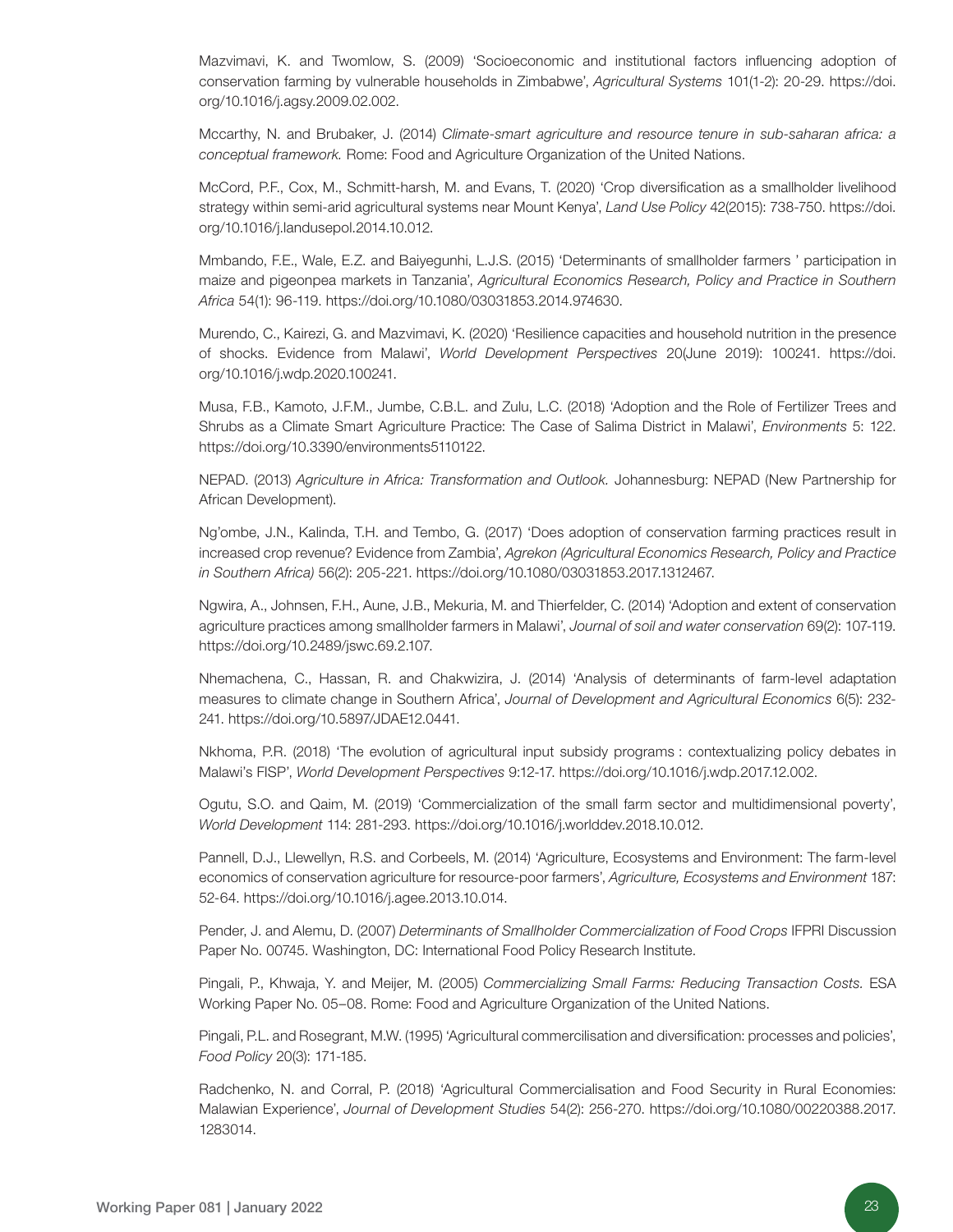Mazvimavi, K. and Twomlow, S. (2009) 'Socioeconomic and institutional factors influencing adoption of conservation farming by vulnerable households in Zimbabwe', *Agricultural Systems* 101(1-2): 20-2[9. https://doi.](https://doi.org/10.1016/j.agsy.2009.02.002.) [org/10.1016/j.agsy.2009.02.002.](https://doi.org/10.1016/j.agsy.2009.02.002.)

Mccarthy, N. and Brubaker, J. (2014) *Climate-smart agriculture and resource tenure in sub-saharan africa: a conceptual framework.* Rome: Food and Agriculture Organization of the United Nations.

McCord, P.F., Cox, M., Schmitt-harsh, M. and Evans, T. (2020) 'Crop diversification as a smallholder livelihood strategy within semi-arid agricultural systems near Mount Kenya', *Land Use Policy* 42(2015): 738-75[0. https://doi.](https://doi.org/10.1016/j.landusepol.2014.10.012.
) [org/10.1016/j.landusepol.2014.10.012.](https://doi.org/10.1016/j.landusepol.2014.10.012.
)

Mmbando, F.E., Wale, E.Z. and Baiyegunhi, L.J.S. (2015) 'Determinants of smallholder farmers ' participation in maize and pigeonpea markets in Tanzania', *Agricultural Economics Research, Policy and Practice in Southern Africa* 54(1): 96-119. https://doi.org/10.1080/03031853.2014.974630.

Murendo, C., Kairezi, G. and Mazvimavi, K. (2020) 'Resilience capacities and household nutrition in the presence of shocks. Evidence from Malawi', *World Development Perspectives* 20(June 2019): 10024[1. https://doi.](https://doi.org/10.1016/j.wdp.2020.100241.
) [org/10.1016/j.wdp.2020.100241.](https://doi.org/10.1016/j.wdp.2020.100241.
)

Musa, F.B., Kamoto, J.F.M., Jumbe, C.B.L. and Zulu, L.C. (2018) 'Adoption and the Role of Fertilizer Trees and Shrubs as a Climate Smart Agriculture Practice: The Case of Salima District in Malawi', *Environments* 5: 122. https://doi.org/10.3390/environments5110122.

NEPAD. (2013) *Agriculture in Africa: Transformation and Outlook.* Johannesburg: NEPAD (New Partnership for African Development).

Ng'ombe, J.N., Kalinda, T.H. and Tembo, G. (2017) 'Does adoption of conservation farming practices result in increased crop revenue? Evidence from Zambia', *Agrekon (Agricultural Economics Research, Policy and Practice in Southern Africa)* 56(2): 205-221. https://doi.org/10.1080/03031853.2017.1312467.

Ngwira, A., Johnsen, F.H., Aune, J.B., Mekuria, M. and Thierfelder, C. (2014) 'Adoption and extent of conservation agriculture practices among smallholder farmers in Malawi', *Journal of soil and water conservation* 69(2): 107-119. https://doi.org/10.2489/jswc.69.2.107.

Nhemachena, C., Hassan, R. and Chakwizira, J. (2014) 'Analysis of determinants of farm-level adaptation measures to climate change in Southern Africa', *Journal of Development and Agricultural Economics* 6(5): 232- 241. https://doi.org/10.5897/JDAE12.0441.

Nkhoma, P.R. (2018) 'The evolution of agricultural input subsidy programs : contextualizing policy debates in Malawi's FISP', *World Development Perspectives* 9:12-17. https://doi.org/10.1016/j.wdp.2017.12.002.

Ogutu, S.O. and Qaim, M. (2019) 'Commercialization of the small farm sector and multidimensional poverty', *World Development* 114: 281-293. https://doi.org/10.1016/j.worlddev.2018.10.012.

Pannell, D.J., Llewellyn, R.S. and Corbeels, M. (2014) 'Agriculture, Ecosystems and Environment: The farm-level economics of conservation agriculture for resource-poor farmers', *Agriculture, Ecosystems and Environment* 187: 52-64. https://doi.org/10.1016/j.agee.2013.10.014.

Pender, J. and Alemu, D. (2007) *Determinants of Smallholder Commercialization of Food Crops* IFPRI Discussion Paper No. 00745. Washington, DC: International Food Policy Research Institute.

Pingali, P., Khwaja, Y. and Meijer, M. (2005) *Commercializing Small Farms: Reducing Transaction Costs.* ESA Working Paper No. 05–08. Rome: Food and Agriculture Organization of the United Nations.

Pingali, P.L. and Rosegrant, M.W. (1995) 'Agricultural commercilisation and diversification: processes and policies', *Food Policy* 20(3): 171-185.

Radchenko, N. and Corral, P. (2018) 'Agricultural Commercialisation and Food Security in Rural Economies: Malawian Experience', *Journal of Development Studies* 54(2): 256-270[. https://doi.org/10.1080/00220388.2017.](https://doi.org/10.1080/00220388.2017.1283014.
) [1283014.](https://doi.org/10.1080/00220388.2017.1283014.
)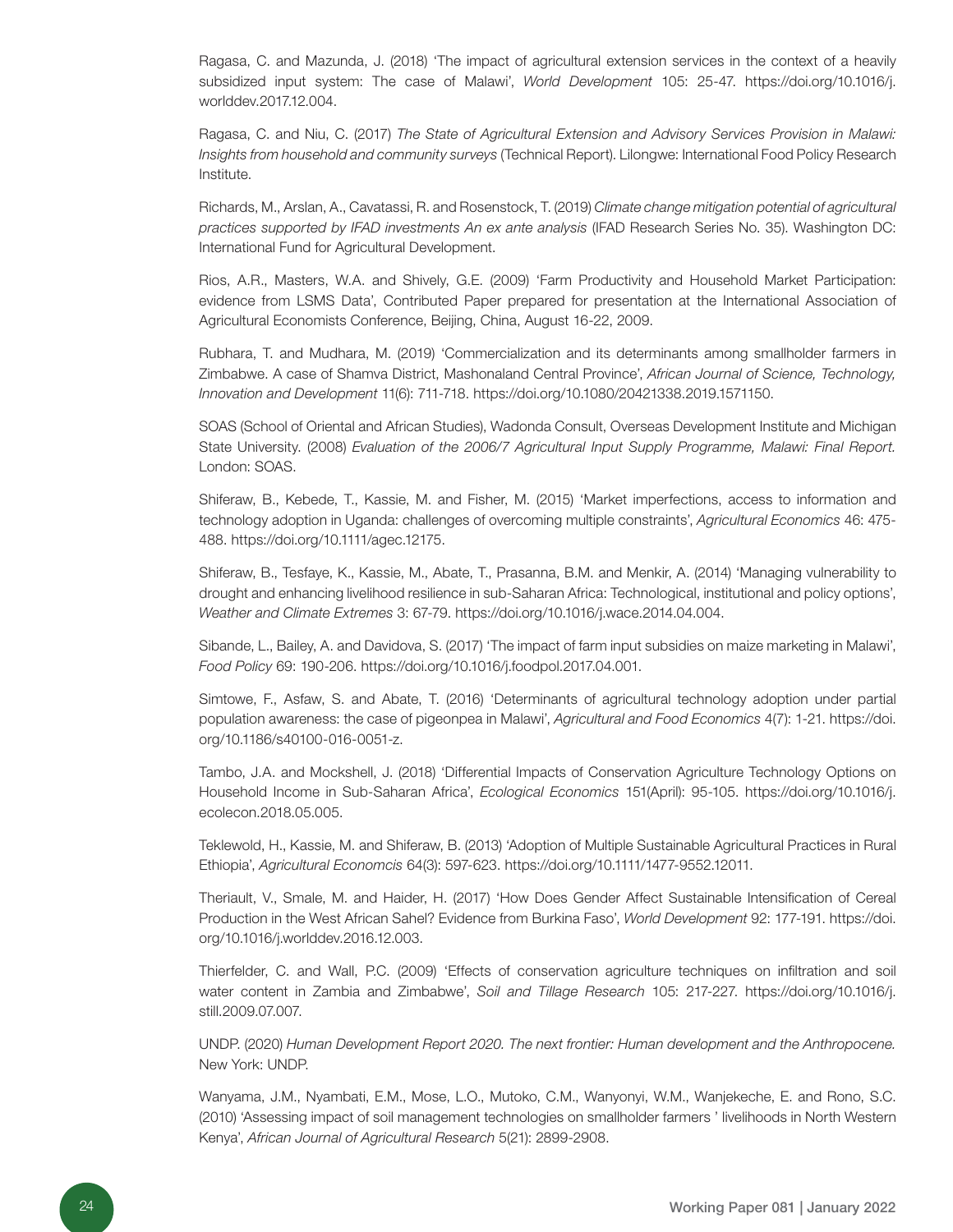Ragasa, C. and Mazunda, J. (2018) 'The impact of agricultural extension services in the context of a heavily subsidized input system: The case of Malawi', *World Development* 105: 25-47. [https://doi.org/10.1016/j.](https://doi.org/10.1016/j.worlddev.2017.12.004.
) [worlddev.2017.12.004.](https://doi.org/10.1016/j.worlddev.2017.12.004.
)

Ragasa, C. and Niu, C. (2017) *The State of Agricultural Extension and Advisory Services Provision in Malawi: Insights from household and community surveys* (Technical Report). Lilongwe: International Food Policy Research Institute.

Richards, M., Arslan, A., Cavatassi, R. and Rosenstock, T. (2019) *Climate change mitigation potential of agricultural practices supported by IFAD investments An ex ante analysis* (IFAD Research Series No. 35). Washington DC: International Fund for Agricultural Development.

Rios, A.R., Masters, W.A. and Shively, G.E. (2009) 'Farm Productivity and Household Market Participation: evidence from LSMS Data', Contributed Paper prepared for presentation at the International Association of Agricultural Economists Conference, Beijing, China, August 16-22, 2009.

Rubhara, T. and Mudhara, M. (2019) 'Commercialization and its determinants among smallholder farmers in Zimbabwe. A case of Shamva District, Mashonaland Central Province', *African Journal of Science, Technology, Innovation and Development* 11(6): 711-718. https://doi.org/10.1080/20421338.2019.1571150.

SOAS (School of Oriental and African Studies), Wadonda Consult, Overseas Development Institute and Michigan State University. (2008) *Evaluation of the 2006/7 Agricultural Input Supply Programme, Malawi: Final Report.*  London: SOAS.

Shiferaw, B., Kebede, T., Kassie, M. and Fisher, M. (2015) 'Market imperfections, access to information and technology adoption in Uganda: challenges of overcoming multiple constraints', *Agricultural Economics* 46: 475- 488. https://doi.org/10.1111/agec.12175.

Shiferaw, B., Tesfaye, K., Kassie, M., Abate, T., Prasanna, B.M. and Menkir, A. (2014) 'Managing vulnerability to drought and enhancing livelihood resilience in sub-Saharan Africa: Technological, institutional and policy options', *Weather and Climate Extremes* 3: 67-79. https://doi.org/10.1016/j.wace.2014.04.004.

Sibande, L., Bailey, A. and Davidova, S. (2017) 'The impact of farm input subsidies on maize marketing in Malawi', *Food Policy* 69: 190-206. https://doi.org/10.1016/j.foodpol.2017.04.001.

Simtowe, F., Asfaw, S. and Abate, T. (2016) 'Determinants of agricultural technology adoption under partial population awareness: the case of pigeonpea in Malawi', *Agricultural and Food Economics* 4(7[\): 1-21. https://doi.](https://doi.org/10.1186/s40100-016-0051-z.
) [org/10.1186/s40100-016-0051-z.](https://doi.org/10.1186/s40100-016-0051-z.
)

Tambo, J.A. and Mockshell, J. (2018) 'Differential Impacts of Conservation Agriculture Technology Options on Household Income in Sub-Saharan Africa', *Ecological Economics* 151(April): 95-105[. https://doi.org/10.1016/j.](https://doi.org/10.1016/j.ecolecon.2018.05.005.
) [ecolecon.2018.05.005.](https://doi.org/10.1016/j.ecolecon.2018.05.005.
)

Teklewold, H., Kassie, M. and Shiferaw, B. (2013) 'Adoption of Multiple Sustainable Agricultural Practices in Rural Ethiopia', *Agricultural Economcis* 64(3): 597-623. https://doi.org/10.1111/1477-9552.12011.

Theriault, V., Smale, M. and Haider, H. (2017) 'How Does Gender Affect Sustainable Intensification of Cereal Production in the West African Sahel? Evidence from Burkina Faso', *World Development* 92: 177-191[. https://doi.](https://doi.org/10.1016/j.worlddev.2016.12.003.
) [org/10.1016/j.worlddev.2016.12.003.](https://doi.org/10.1016/j.worlddev.2016.12.003.
)

Thierfelder, C. and Wall, P.C. (2009) 'Effects of conservation agriculture techniques on infiltration and soil water content in Zambia and Zimbabwe', *Soil and Tillage Research* 105: 217-227[. https://doi.org/10.1016/j.](https://doi.org/10.1016/j.still.2009.07.007.
) [still.2009.07.007.](https://doi.org/10.1016/j.still.2009.07.007.
)

UNDP. (2020) *Human Development Report 2020. The next frontier: Human development and the Anthropocene.* New York: UNDP.

Wanyama, J.M., Nyambati, E.M., Mose, L.O., Mutoko, C.M., Wanyonyi, W.M., Wanjekeche, E. and Rono, S.C. (2010) 'Assessing impact of soil management technologies on smallholder farmers ' livelihoods in North Western Kenya', *African Journal of Agricultural Research* 5(21): 2899-2908.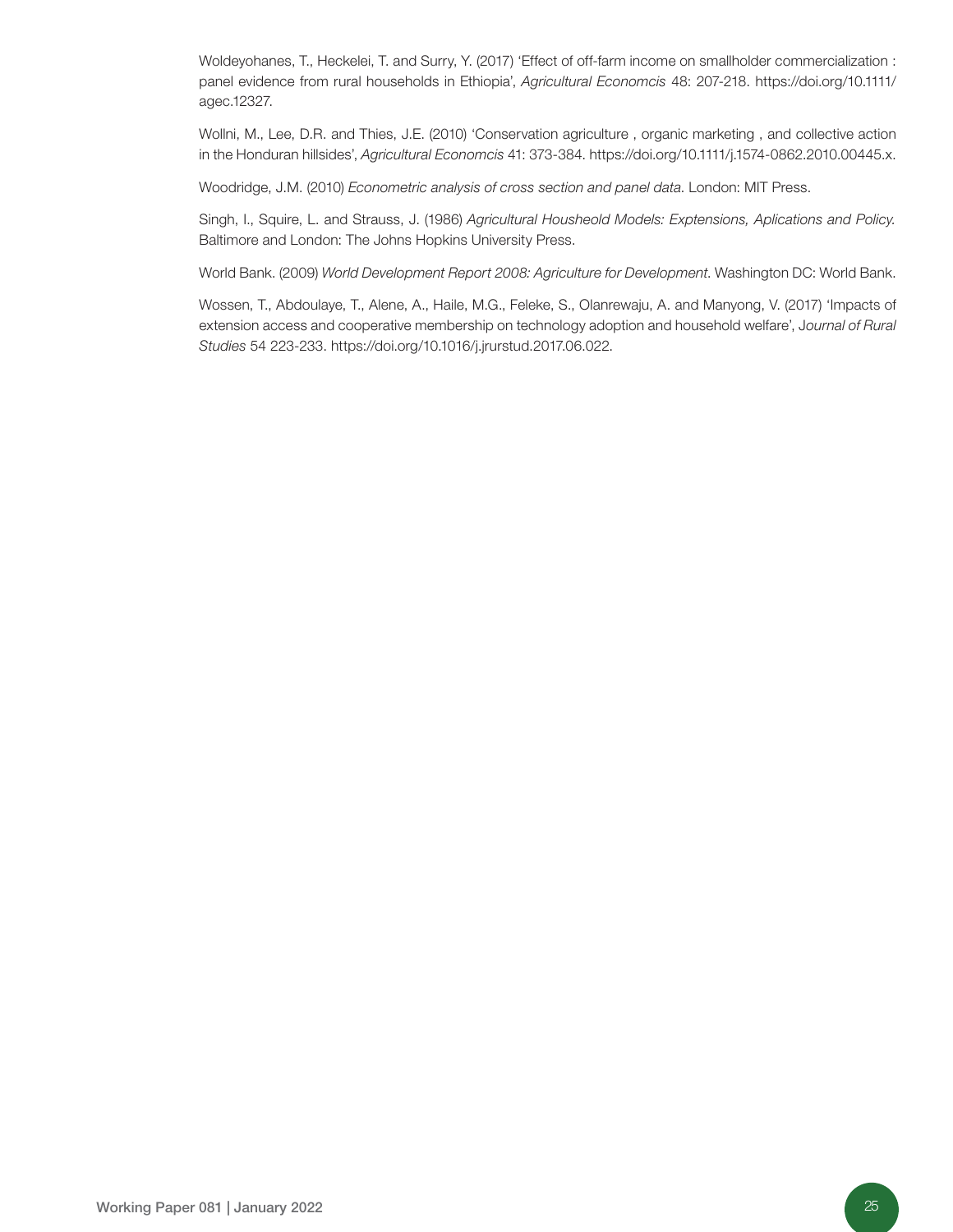Woldeyohanes, T., Heckelei, T. and Surry, Y. (2017) 'Effect of off-farm income on smallholder commercialization : panel evidence from rural households in Ethiopia', *Agricultural Economcis* 48: 207-218[. https://doi.org/10.1111/](https://doi.org/10.1111/agec.12327.
) [agec.12327.](https://doi.org/10.1111/agec.12327.
)

Wollni, M., Lee, D.R. and Thies, J.E. (2010) 'Conservation agriculture , organic marketing , and collective action in the Honduran hillsides', *Agricultural Economcis* 41: 373-384. https://doi.org/10.1111/j.1574-0862.2010.00445.x.

Woodridge, J.M. (2010) *Econometric analysis of cross section and panel data*. London: MIT Press.

Singh, I., Squire, L. and Strauss, J. (1986) *Agricultural Housheold Models: Exptensions, Aplications and Policy.*  Baltimore and London: The Johns Hopkins University Press.

World Bank. (2009) *World Development Report 2008: Agriculture for Development*. Washington DC: World Bank.

Wossen, T., Abdoulaye, T., Alene, A., Haile, M.G., Feleke, S., Olanrewaju, A. and Manyong, V. (2017) 'Impacts of extension access and cooperative membership on technology adoption and household welfare', J*ournal of Rural Studies* 54 223-233. https://doi.org/10.1016/j.jrurstud.2017.06.022.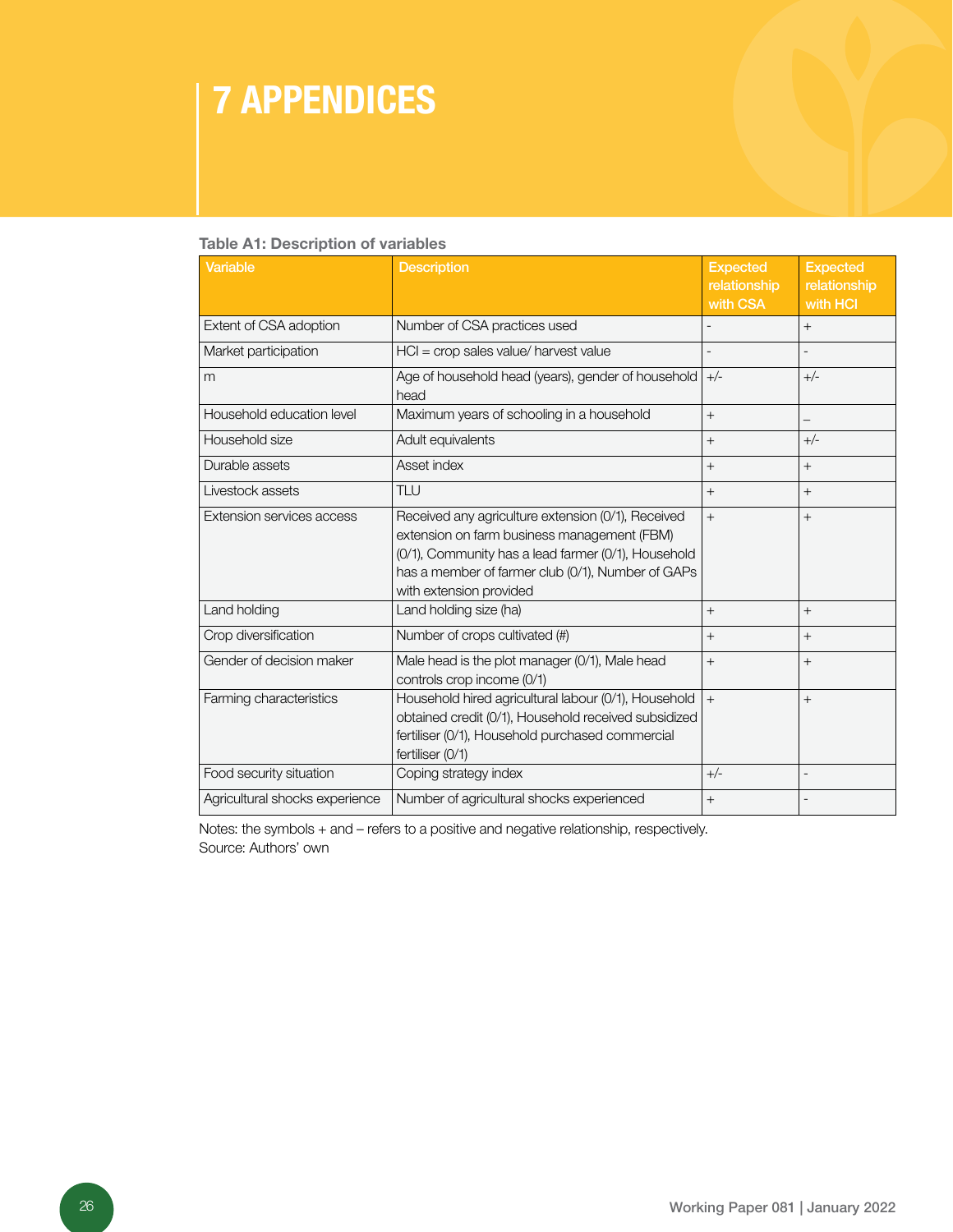### 7 APPENDICES

#### Table A1: Description of variables

| <b>Variable</b>                | <b>Description</b>                                                                                                                                                                                                                       | <b>Expected</b><br>relationship<br>with CSA | <b>Expected</b><br>relationship<br>with HCI |
|--------------------------------|------------------------------------------------------------------------------------------------------------------------------------------------------------------------------------------------------------------------------------------|---------------------------------------------|---------------------------------------------|
| Extent of CSA adoption         | Number of CSA practices used                                                                                                                                                                                                             |                                             | $+$                                         |
| Market participation           | $HCI = crop$ sales value/ harvest value                                                                                                                                                                                                  |                                             |                                             |
| m                              | Age of household head (years), gender of household<br>head                                                                                                                                                                               | $+/-$                                       | $+/-$                                       |
| Household education level      | Maximum years of schooling in a household                                                                                                                                                                                                | $^{+}$                                      | —                                           |
| Household size                 | Adult equivalents                                                                                                                                                                                                                        | $^{+}$                                      | $+/-$                                       |
| Durable assets                 | Asset index                                                                                                                                                                                                                              | $^{+}$                                      | $^{+}$                                      |
| Livestock assets               | <b>TLU</b>                                                                                                                                                                                                                               | $^{+}$                                      | $^{+}$                                      |
| Extension services access      | Received any agriculture extension (0/1), Received<br>extension on farm business management (FBM)<br>(0/1), Community has a lead farmer (0/1), Household<br>has a member of farmer club (0/1), Number of GAPs<br>with extension provided | $^{+}$                                      | $+$                                         |
| Land holding                   | Land holding size (ha)                                                                                                                                                                                                                   | $^{+}$                                      | $+$                                         |
| Crop diversification           | Number of crops cultivated (#)                                                                                                                                                                                                           | $^{+}$                                      | $^{+}$                                      |
| Gender of decision maker       | Male head is the plot manager (0/1), Male head<br>controls crop income (0/1)                                                                                                                                                             | $^{+}$                                      | $^{+}$                                      |
| Farming characteristics        | Household hired agricultural labour (0/1), Household<br>obtained credit (0/1), Household received subsidized<br>fertiliser (0/1), Household purchased commercial<br>fertiliser (0/1)                                                     | $^{+}$                                      | $+$                                         |
| Food security situation        | Coping strategy index                                                                                                                                                                                                                    | $+/-$                                       | $\overline{a}$                              |
| Agricultural shocks experience | Number of agricultural shocks experienced                                                                                                                                                                                                | $+$                                         |                                             |

Notes: the symbols + and – refers to a positive and negative relationship, respectively. Source: Authors' own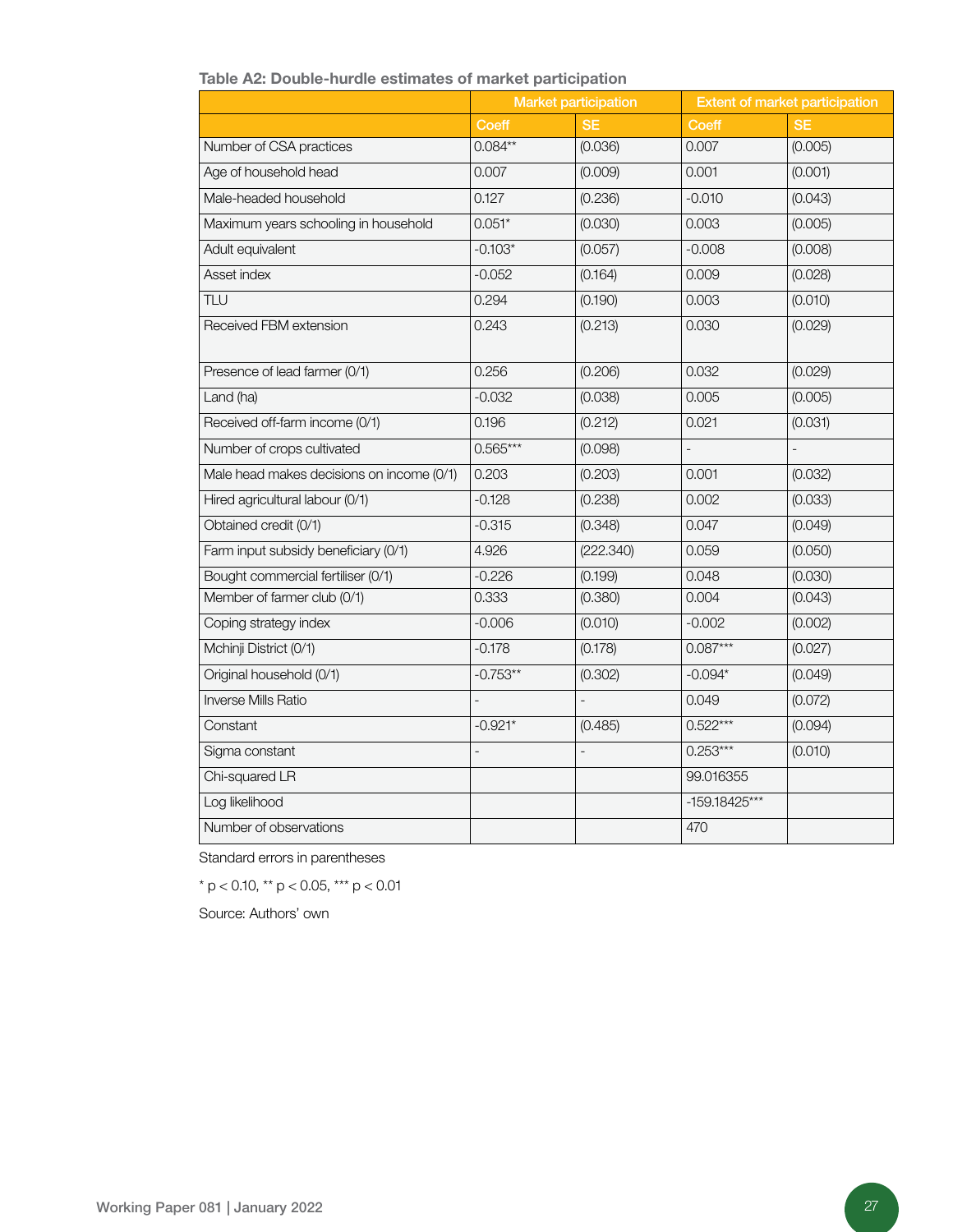#### Table A2: Double-hurdle estimates of market participation

|                                           | <b>Market participation</b> |                   | <b>Extent of market participation</b> |           |  |
|-------------------------------------------|-----------------------------|-------------------|---------------------------------------|-----------|--|
|                                           | Coeff                       | <b>SE</b>         | <b>Coeff</b>                          | <b>SE</b> |  |
| Number of CSA practices                   | $0.084**$                   | (0.036)           | 0.007                                 | (0.005)   |  |
| Age of household head                     | 0.007                       | (0.009)           | 0.001                                 | (0.001)   |  |
| Male-headed household                     | 0.127                       | (0.236)           | $-0.010$                              | (0.043)   |  |
| Maximum years schooling in household      | $0.051*$                    | (0.030)           | 0.003                                 | (0.005)   |  |
| Adult equivalent                          | $-0.103*$                   | (0.057)           | $-0.008$                              | (0.008)   |  |
| Asset index                               | $-0.052$                    | (0.164)           | 0.009                                 | (0.028)   |  |
| TLU                                       | 0.294                       | (0.190)           | 0.003                                 | (0.010)   |  |
| Received FBM extension                    | 0.243                       | (0.213)           | 0.030                                 | (0.029)   |  |
| Presence of lead farmer (0/1)             | 0.256                       | (0.206)           | 0.032                                 | (0.029)   |  |
| Land (ha)                                 | $-0.032$                    | (0.038)           | 0.005                                 | (0.005)   |  |
| Received off-farm income (0/1)            | 0.196                       | (0.212)           | 0.021                                 | (0.031)   |  |
| Number of crops cultivated                | $0.565***$                  | (0.098)           | $\overline{\phantom{a}}$              |           |  |
| Male head makes decisions on income (0/1) | 0.203                       | (0.203)           | 0.001                                 | (0.032)   |  |
| Hired agricultural labour (0/1)           | $-0.128$                    | (0.238)           | 0.002                                 | (0.033)   |  |
| Obtained credit (0/1)                     | $-0.315$                    | (0.348)           | 0.047                                 | (0.049)   |  |
| Farm input subsidy beneficiary (0/1)      | 4.926                       | (222.340)         | 0.059                                 | (0.050)   |  |
| Bought commercial fertiliser (0/1)        | $-0.226$                    | (0.199)           | 0.048                                 | (0.030)   |  |
| Member of farmer club (0/1)               | 0.333                       | (0.380)           | 0.004                                 | (0.043)   |  |
| Coping strategy index                     | $-0.006$                    | (0.010)           | $-0.002$                              | (0.002)   |  |
| Mchinji District (0/1)                    | $-0.178$                    | (0.178)           | $0.087***$                            | (0.027)   |  |
| Original household (0/1)                  | $-0.753**$                  | (0.302)           | $-0.094*$                             | (0.049)   |  |
| Inverse Mills Ratio                       | $\overline{\phantom{0}}$    | $\qquad \qquad -$ | 0.049                                 | (0.072)   |  |
| Constant                                  | $-0.921*$                   | (0.485)           | $0.522***$                            | (0.094)   |  |
| Sigma constant                            | $\overline{a}$              |                   | $0.253***$                            | (0.010)   |  |
| Chi-squared LR                            |                             |                   | 99.016355                             |           |  |
| Log likelihood                            |                             |                   | -159.18425***                         |           |  |
| Number of observations                    |                             |                   | 470                                   |           |  |

Standard errors in parentheses

\* p < 0.10, \*\* p < 0.05, \*\*\* p < 0.01

Source: Authors' own